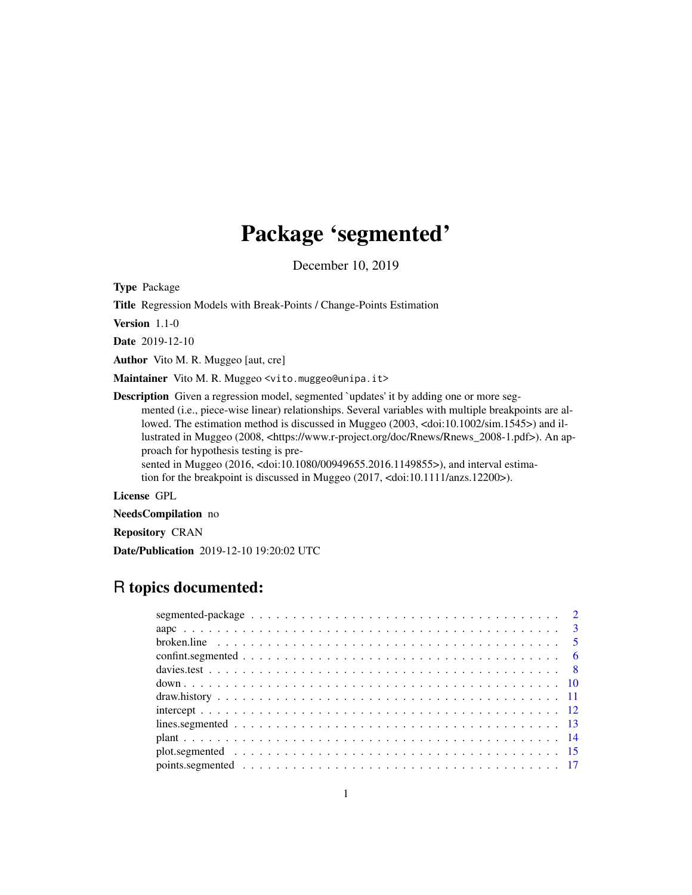# Package 'segmented'

December 10, 2019

<span id="page-0-0"></span>Type Package

Title Regression Models with Break-Points / Change-Points Estimation

Version 1.1-0

Date 2019-12-10

Author Vito M. R. Muggeo [aut, cre]

Maintainer Vito M. R. Muggeo <vito.muggeo@unipa.it>

**Description** Given a regression model, segmented `updates' it by adding one or more segmented (i.e., piece-wise linear) relationships. Several variables with multiple breakpoints are allowed. The estimation method is discussed in Muggeo (2003, <doi:10.1002/sim.1545>) and illustrated in Muggeo (2008, <https://www.r-project.org/doc/Rnews/Rnews\_2008-1.pdf>). An approach for hypothesis testing is pre-

sented in Muggeo (2016, <doi:10.1080/00949655.2016.1149855>), and interval estimation for the breakpoint is discussed in Muggeo (2017, <doi:10.1111/anzs.12200>).

License GPL

NeedsCompilation no

Repository CRAN

Date/Publication 2019-12-10 19:20:02 UTC

# R topics documented: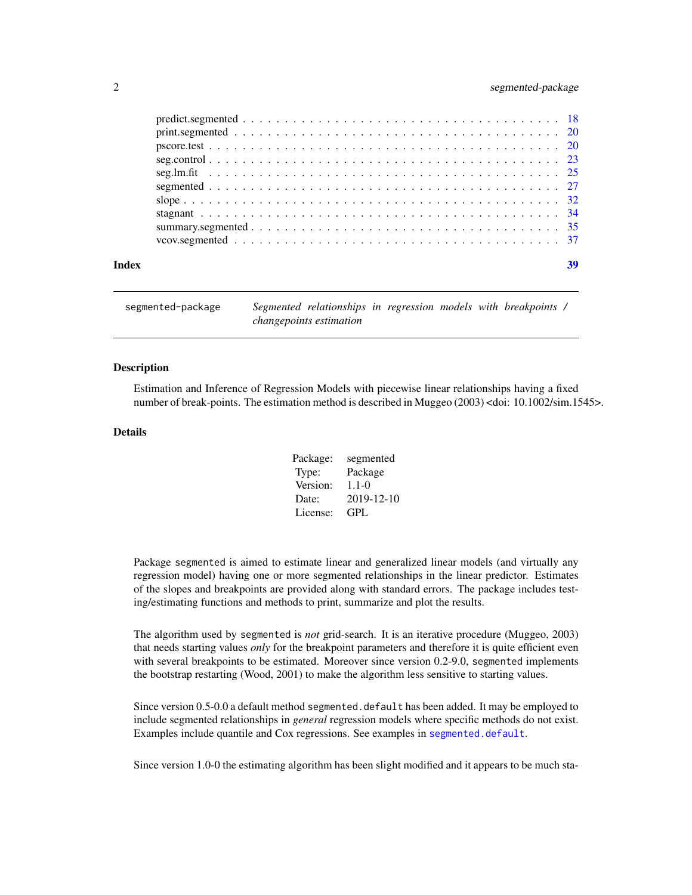# <span id="page-1-0"></span>2 segmented-package

| Index |  |
|-------|--|
|       |  |
|       |  |
|       |  |
|       |  |
|       |  |
|       |  |
|       |  |
|       |  |
|       |  |
|       |  |

segmented-package *Segmented relationships in regression models with breakpoints / changepoints estimation*

# **Description**

Estimation and Inference of Regression Models with piecewise linear relationships having a fixed number of break-points. The estimation method is described in Muggeo (2003) <doi: 10.1002/sim.1545>.

#### Details

| Package: | segmented  |
|----------|------------|
| Type:    | Package    |
| Version: | $1.1 - 0$  |
| Date:    | 2019-12-10 |
| License: | GPL.       |

Package segmented is aimed to estimate linear and generalized linear models (and virtually any regression model) having one or more segmented relationships in the linear predictor. Estimates of the slopes and breakpoints are provided along with standard errors. The package includes testing/estimating functions and methods to print, summarize and plot the results.

The algorithm used by segmented is *not* grid-search. It is an iterative procedure (Muggeo, 2003) that needs starting values *only* for the breakpoint parameters and therefore it is quite efficient even with several breakpoints to be estimated. Moreover since version 0.2-9.0, segmented implements the bootstrap restarting (Wood, 2001) to make the algorithm less sensitive to starting values.

Since version 0.5-0.0 a default method segmented.default has been added. It may be employed to include segmented relationships in *general* regression models where specific methods do not exist. Examples include quantile and Cox regressions. See examples in [segmented.default](#page-26-1).

Since version 1.0-0 the estimating algorithm has been slight modified and it appears to be much sta-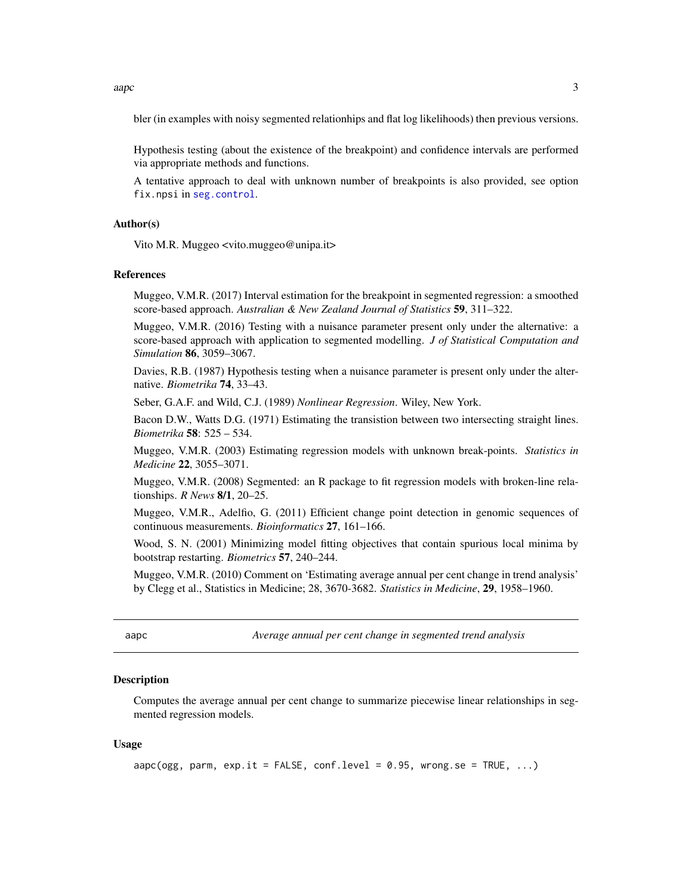<span id="page-2-0"></span>aapc 3

bler (in examples with noisy segmented relationhips and flat log likelihoods) then previous versions.

Hypothesis testing (about the existence of the breakpoint) and confidence intervals are performed via appropriate methods and functions.

A tentative approach to deal with unknown number of breakpoints is also provided, see option fix.npsi in [seg.control](#page-22-1).

### Author(s)

Vito M.R. Muggeo <vito.muggeo@unipa.it>

#### References

Muggeo, V.M.R. (2017) Interval estimation for the breakpoint in segmented regression: a smoothed score-based approach. *Australian & New Zealand Journal of Statistics* 59, 311–322.

Muggeo, V.M.R. (2016) Testing with a nuisance parameter present only under the alternative: a score-based approach with application to segmented modelling. *J of Statistical Computation and Simulation* 86, 3059–3067.

Davies, R.B. (1987) Hypothesis testing when a nuisance parameter is present only under the alternative. *Biometrika* 74, 33–43.

Seber, G.A.F. and Wild, C.J. (1989) *Nonlinear Regression*. Wiley, New York.

Bacon D.W., Watts D.G. (1971) Estimating the transistion between two intersecting straight lines. *Biometrika* 58: 525 – 534.

Muggeo, V.M.R. (2003) Estimating regression models with unknown break-points. *Statistics in Medicine* 22, 3055–3071.

Muggeo, V.M.R. (2008) Segmented: an R package to fit regression models with broken-line relationships. *R News* 8/1, 20–25.

Muggeo, V.M.R., Adelfio, G. (2011) Efficient change point detection in genomic sequences of continuous measurements. *Bioinformatics* 27, 161–166.

Wood, S. N. (2001) Minimizing model fitting objectives that contain spurious local minima by bootstrap restarting. *Biometrics* 57, 240–244.

Muggeo, V.M.R. (2010) Comment on 'Estimating average annual per cent change in trend analysis' by Clegg et al., Statistics in Medicine; 28, 3670-3682. *Statistics in Medicine*, 29, 1958–1960.

aapc *Average annual per cent change in segmented trend analysis*

#### **Description**

Computes the average annual per cent change to summarize piecewise linear relationships in segmented regression models.

# Usage

aapc(ogg, parm,  $exp.it = FALSE, conf.level = 0.95, wrong.se = TRUE, ...$ )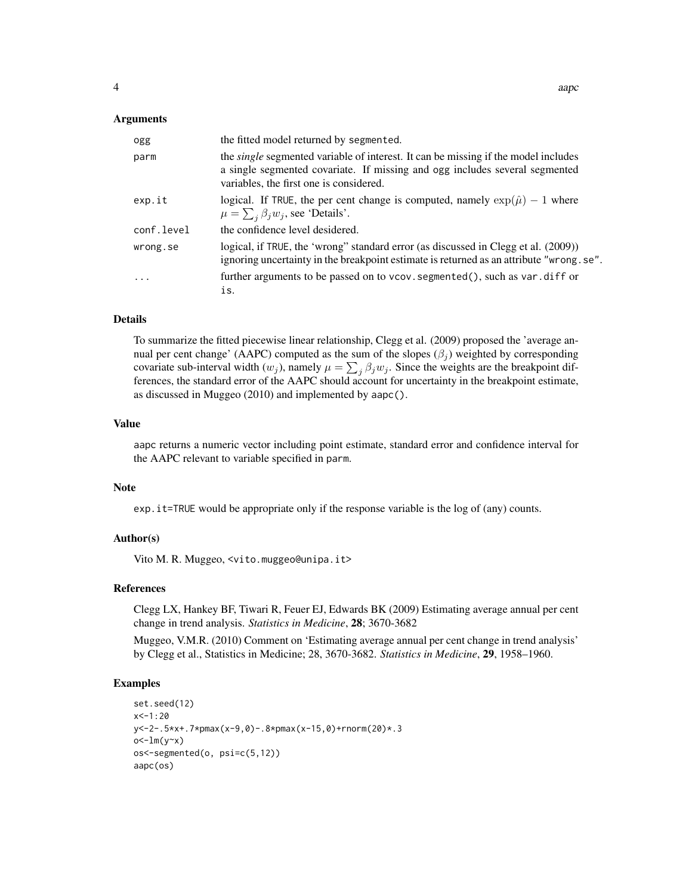#### Arguments

| ogg        | the fitted model returned by segmented.                                                                                                                                                                             |
|------------|---------------------------------------------------------------------------------------------------------------------------------------------------------------------------------------------------------------------|
| parm       | the <i>single</i> segmented variable of interest. It can be missing if the model includes<br>a single segmented covariate. If missing and ogg includes several segmented<br>variables, the first one is considered. |
| exp.it     | logical. If TRUE, the per cent change is computed, namely $\exp(\hat{\mu}) - 1$ where<br>$\mu = \sum_{i} \beta_i w_i$ , see 'Details'.                                                                              |
| conf.level | the confidence level desidered.                                                                                                                                                                                     |
| wrong.se   | logical, if TRUE, the 'wrong' standard error (as discussed in Clegg et al. (2009))<br>ignoring uncertainty in the breakpoint estimate is returned as an attribute "wrong. se".                                      |
| $\cdot$    | further arguments to be passed on to vcov. segmented(), such as var.diff or<br>is.                                                                                                                                  |

#### Details

To summarize the fitted piecewise linear relationship, Clegg et al. (2009) proposed the 'average annual per cent change' (AAPC) computed as the sum of the slopes  $(\beta_i)$  weighted by corresponding covariate sub-interval width  $(w_j)$ , namely  $\mu = \sum_j \beta_j w_j$ . Since the weights are the breakpoint differences, the standard error of the AAPC should account for uncertainty in the breakpoint estimate, as discussed in Muggeo (2010) and implemented by aapc().

#### Value

aapc returns a numeric vector including point estimate, standard error and confidence interval for the AAPC relevant to variable specified in parm.

# Note

exp.it=TRUE would be appropriate only if the response variable is the log of (any) counts.

# Author(s)

Vito M. R. Muggeo, <vito.muggeo@unipa.it>

# References

Clegg LX, Hankey BF, Tiwari R, Feuer EJ, Edwards BK (2009) Estimating average annual per cent change in trend analysis. *Statistics in Medicine*, 28; 3670-3682

Muggeo, V.M.R. (2010) Comment on 'Estimating average annual per cent change in trend analysis' by Clegg et al., Statistics in Medicine; 28, 3670-3682. *Statistics in Medicine*, 29, 1958–1960.

#### Examples

```
set.seed(12)
x < -1:20y<-2-.5*x+.7*pmax(x-9,0)-.8*pmax(x-15,0)+rnorm(20)*.3
o<-lm(y-x)os<-segmented(o, psi=c(5,12))
aapc(os)
```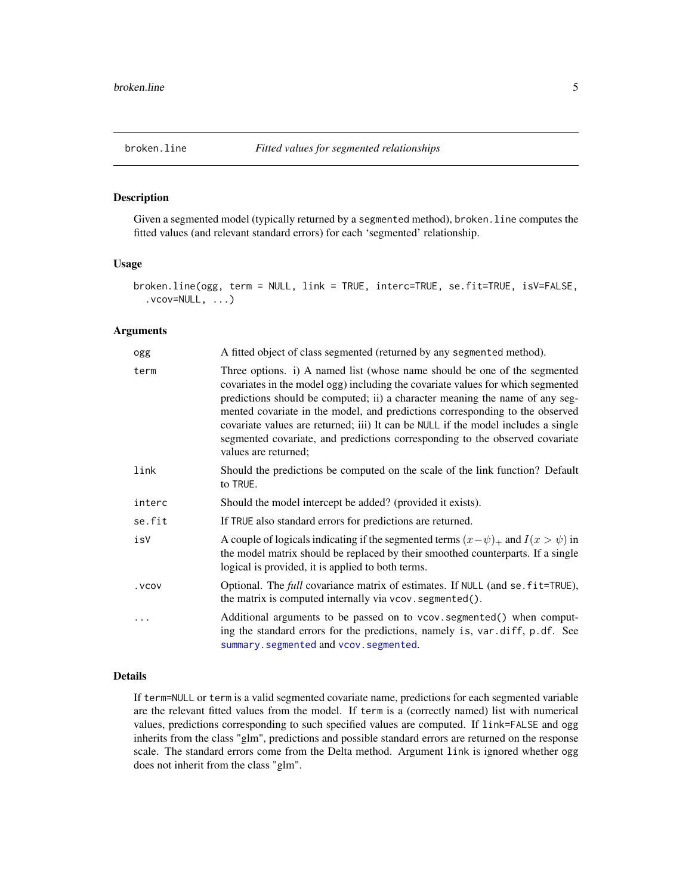<span id="page-4-1"></span><span id="page-4-0"></span>

# Description

Given a segmented model (typically returned by a segmented method), broken. line computes the fitted values (and relevant standard errors) for each 'segmented' relationship.

# Usage

```
broken.line(ogg, term = NULL, link = TRUE, interc=TRUE, se.fit=TRUE, isV=FALSE,
  ivcov=NULL, ...)
```
# Arguments

| ogg    | A fitted object of class segmented (returned by any segmented method).                                                                                                                                                                                                                                                                                                                                                                                                                                                    |
|--------|---------------------------------------------------------------------------------------------------------------------------------------------------------------------------------------------------------------------------------------------------------------------------------------------------------------------------------------------------------------------------------------------------------------------------------------------------------------------------------------------------------------------------|
| term   | Three options. i) A named list (whose name should be one of the segmented<br>covariates in the model ogg) including the covariate values for which segmented<br>predictions should be computed; ii) a character meaning the name of any seg-<br>mented covariate in the model, and predictions corresponding to the observed<br>covariate values are returned; iii) It can be NULL if the model includes a single<br>segmented covariate, and predictions corresponding to the observed covariate<br>values are returned; |
| link   | Should the predictions be computed on the scale of the link function? Default<br>to TRUE.                                                                                                                                                                                                                                                                                                                                                                                                                                 |
| interc | Should the model intercept be added? (provided it exists).                                                                                                                                                                                                                                                                                                                                                                                                                                                                |
| se.fit | If TRUE also standard errors for predictions are returned.                                                                                                                                                                                                                                                                                                                                                                                                                                                                |
| isV    | A couple of logicals indicating if the segmented terms $(x - \psi)$ and $I(x > \psi)$ in<br>the model matrix should be replaced by their smoothed counterparts. If a single<br>logical is provided, it is applied to both terms.                                                                                                                                                                                                                                                                                          |
| . VCOV | Optional. The <i>full</i> covariance matrix of estimates. If NULL (and se. fit=TRUE),<br>the matrix is computed internally via vcov. segmented().                                                                                                                                                                                                                                                                                                                                                                         |
|        | Additional arguments to be passed on to vcov. segmented() when comput-<br>ing the standard errors for the predictions, namely is, var.diff, p.df. See<br>summary.segmented and vcov.segmented.                                                                                                                                                                                                                                                                                                                            |

# Details

If term=NULL or term is a valid segmented covariate name, predictions for each segmented variable are the relevant fitted values from the model. If term is a (correctly named) list with numerical values, predictions corresponding to such specified values are computed. If link=FALSE and ogg inherits from the class "glm", predictions and possible standard errors are returned on the response scale. The standard errors come from the Delta method. Argument link is ignored whether ogg does not inherit from the class "glm".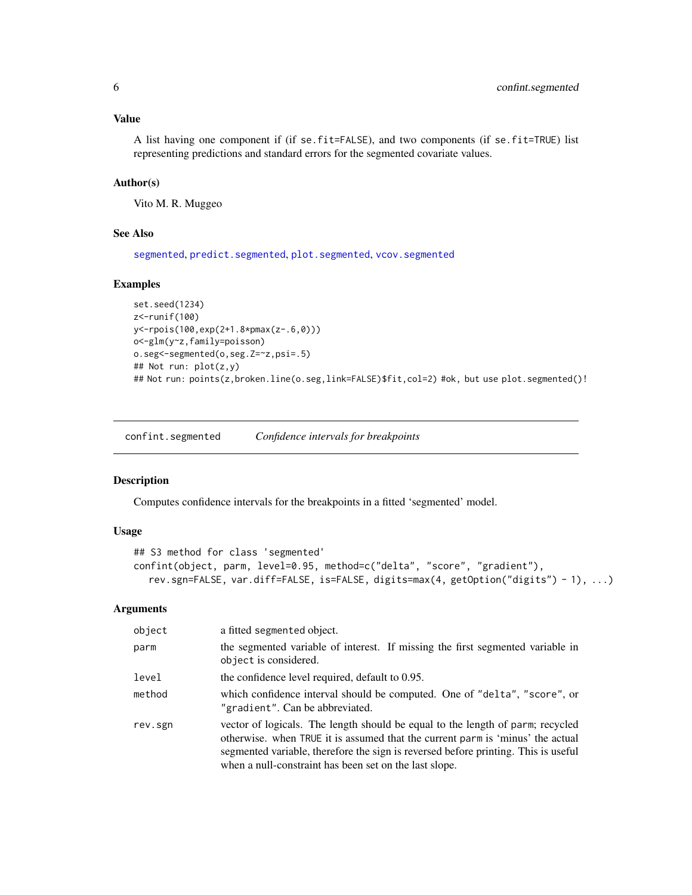<span id="page-5-0"></span>Value

A list having one component if (if se.fit=FALSE), and two components (if se.fit=TRUE) list representing predictions and standard errors for the segmented covariate values.

# Author(s)

Vito M. R. Muggeo

# See Also

[segmented](#page-26-2), [predict.segmented](#page-17-1), [plot.segmented](#page-14-1), [vcov.segmented](#page-36-1)

# Examples

```
set.seed(1234)
z<-runif(100)
y<-rpois(100,exp(2+1.8*pmax(z-.6,0)))
o<-glm(y~z,family=poisson)
o.seg<-segmented(o,seg.Z=~z,psi=.5)
## Not run: plot(z,y)
## Not run: points(z,broken.line(o.seg,link=FALSE)$fit,col=2) #ok, but use plot.segmented()!
```
confint.segmented *Confidence intervals for breakpoints*

# Description

Computes confidence intervals for the breakpoints in a fitted 'segmented' model.

### Usage

```
## S3 method for class 'segmented'
confint(object, parm, level=0.95, method=c("delta", "score", "gradient"),
  rev.sgn=FALSE, var.diff=FALSE, is=FALSE, digits=max(4, getOption("digits") - 1), ...)
```

| object  | a fitted segmented object.                                                                                                                                                                                                                                                                                       |
|---------|------------------------------------------------------------------------------------------------------------------------------------------------------------------------------------------------------------------------------------------------------------------------------------------------------------------|
| parm    | the segmented variable of interest. If missing the first segmented variable in<br>object is considered.                                                                                                                                                                                                          |
| level   | the confidence level required, default to 0.95.                                                                                                                                                                                                                                                                  |
| method  | which confidence interval should be computed. One of "delta", "score", or<br>"gradient". Can be abbreviated.                                                                                                                                                                                                     |
| rev.sgn | vector of logicals. The length should be equal to the length of parm; recycled<br>otherwise, when TRUE it is assumed that the current parm is 'minus' the actual<br>segmented variable, therefore the sign is reversed before printing. This is useful<br>when a null-constraint has been set on the last slope. |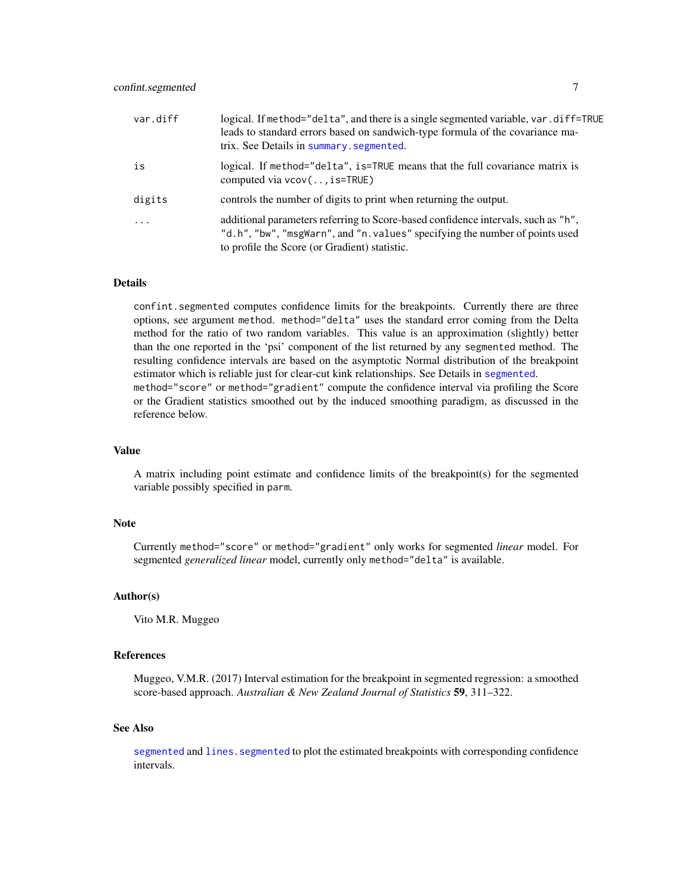<span id="page-6-0"></span>

| var.diff | logical. If method="delta", and there is a single segmented variable, var. diff=TRUE<br>leads to standard errors based on sandwich-type formula of the covariance ma-<br>trix. See Details in summary. segmented. |
|----------|-------------------------------------------------------------------------------------------------------------------------------------------------------------------------------------------------------------------|
| is       | logical. If method="delta", is=TRUE means that the full covariance matrix is<br>computed via $vcov$ (, is=TRUE)                                                                                                   |
| digits   | controls the number of digits to print when returning the output.                                                                                                                                                 |
| $\cdots$ | additional parameters referring to Score-based confidence intervals, such as "h",<br>"d.h", "bw", "msgWarn", and "n.values" specifying the number of points used<br>to profile the Score (or Gradient) statistic. |

#### Details

confint.segmented computes confidence limits for the breakpoints. Currently there are three options, see argument method. method="delta" uses the standard error coming from the Delta method for the ratio of two random variables. This value is an approximation (slightly) better than the one reported in the 'psi' component of the list returned by any segmented method. The resulting confidence intervals are based on the asymptotic Normal distribution of the breakpoint estimator which is reliable just for clear-cut kink relationships. See Details in [segmented](#page-26-2). method="score" or method="gradient" compute the confidence interval via profiling the Score or the Gradient statistics smoothed out by the induced smoothing paradigm, as discussed in the reference below.

#### Value

A matrix including point estimate and confidence limits of the breakpoint(s) for the segmented variable possibly specified in parm.

# Note

Currently method="score" or method="gradient" only works for segmented *linear* model. For segmented *generalized linear* model, currently only method="delta" is available.

# Author(s)

Vito M.R. Muggeo

#### References

Muggeo, V.M.R. (2017) Interval estimation for the breakpoint in segmented regression: a smoothed score-based approach. *Australian & New Zealand Journal of Statistics* 59, 311–322.

#### See Also

[segmented](#page-26-2) and lines. segmented to plot the estimated breakpoints with corresponding confidence intervals.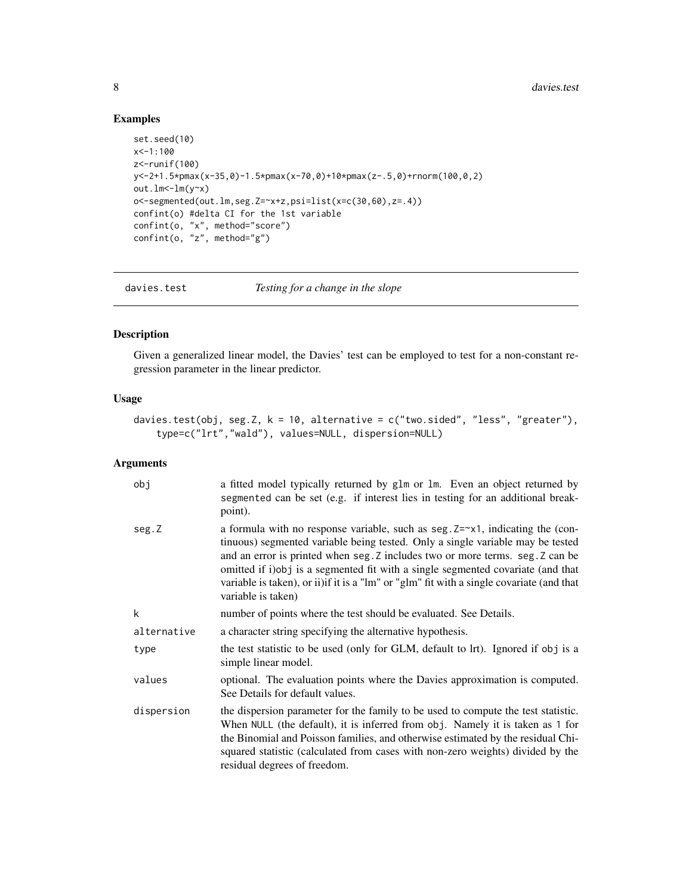# Examples

```
set.seed(10)
x<-1:100
z<-runif(100)
y<-2+1.5*pmax(x-35,0)-1.5*pmax(x-70,0)+10*pmax(z-.5,0)+rnorm(100,0,2)
out.lm<-lm(y~x)o<-segmented(out.lm,seg.Z=~x+z,psi=list(x=c(30,60),z=.4))
confint(o) #delta CI for the 1st variable
confint(o, "x", method="score")
confint(o, "z", method="g")
```
<span id="page-7-1"></span>davies.test *Testing for a change in the slope*

# Description

Given a generalized linear model, the Davies' test can be employed to test for a non-constant regression parameter in the linear predictor.

# Usage

```
davies.test(obj, seg.Z, k = 10, alternative = c("two.sided", "less", "greater"),type=c("lrt","wald"), values=NULL, dispersion=NULL)
```

| obj         | a fitted model typically returned by glm or lm. Even an object returned by<br>segmented can be set (e.g. if interest lies in testing for an additional break-<br>point).                                                                                                                                                                                                                                                                                         |
|-------------|------------------------------------------------------------------------------------------------------------------------------------------------------------------------------------------------------------------------------------------------------------------------------------------------------------------------------------------------------------------------------------------------------------------------------------------------------------------|
| seg.Z       | a formula with no response variable, such as seg. $Z = \gamma 1$ , indicating the (con-<br>tinuous) segmented variable being tested. Only a single variable may be tested<br>and an error is printed when seg. Z includes two or more terms. seg. Z can be<br>omitted if i)obj is a segmented fit with a single segmented covariate (and that<br>variable is taken), or ii) if it is a "lm" or "glm" fit with a single covariate (and that<br>variable is taken) |
| k           | number of points where the test should be evaluated. See Details.                                                                                                                                                                                                                                                                                                                                                                                                |
| alternative | a character string specifying the alternative hypothesis.                                                                                                                                                                                                                                                                                                                                                                                                        |
| type        | the test statistic to be used (only for GLM, default to lrt). Ignored if obj is a<br>simple linear model.                                                                                                                                                                                                                                                                                                                                                        |
| values      | optional. The evaluation points where the Davies approximation is computed.<br>See Details for default values.                                                                                                                                                                                                                                                                                                                                                   |
| dispersion  | the dispersion parameter for the family to be used to compute the test statistic.<br>When NULL (the default), it is inferred from obj. Namely it is taken as 1 for<br>the Binomial and Poisson families, and otherwise estimated by the residual Chi-<br>squared statistic (calculated from cases with non-zero weights) divided by the<br>residual degrees of freedom.                                                                                          |

<span id="page-7-0"></span>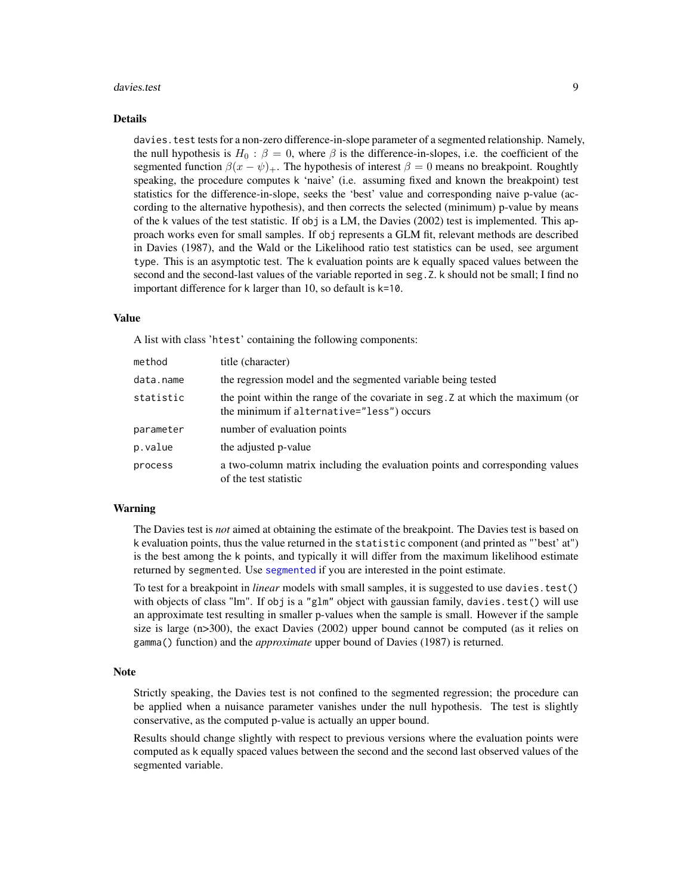#### <span id="page-8-0"></span>davies.test 9

#### Details

davies.test tests for a non-zero difference-in-slope parameter of a segmented relationship. Namely, the null hypothesis is  $H_0$ :  $\beta = 0$ , where  $\beta$  is the difference-in-slopes, i.e. the coefficient of the segmented function  $\beta(x - \psi)$ . The hypothesis of interest  $\beta = 0$  means no breakpoint. Roughtly speaking, the procedure computes k 'naive' (i.e. assuming fixed and known the breakpoint) test statistics for the difference-in-slope, seeks the 'best' value and corresponding naive p-value (according to the alternative hypothesis), and then corrects the selected (minimum) p-value by means of the k values of the test statistic. If obj is a LM, the Davies (2002) test is implemented. This approach works even for small samples. If obj represents a GLM fit, relevant methods are described in Davies (1987), and the Wald or the Likelihood ratio test statistics can be used, see argument type. This is an asymptotic test. The k evaluation points are k equally spaced values between the second and the second-last values of the variable reported in seg.Z. k should not be small; I find no important difference for k larger than 10, so default is k=10.

#### Value

A list with class 'htest' containing the following components:

| method    | title (character)                                                                                                           |
|-----------|-----------------------------------------------------------------------------------------------------------------------------|
| data.name | the regression model and the segmented variable being tested                                                                |
| statistic | the point within the range of the covariate in seg. Z at which the maximum (or<br>the minimum if alternative="less") occurs |
| parameter | number of evaluation points                                                                                                 |
| p.value   | the adjusted p-value                                                                                                        |
| process   | a two-column matrix including the evaluation points and corresponding values<br>of the test statistic                       |

# Warning

The Davies test is *not* aimed at obtaining the estimate of the breakpoint. The Davies test is based on k evaluation points, thus the value returned in the statistic component (and printed as "'best' at") is the best among the k points, and typically it will differ from the maximum likelihood estimate returned by segmented. Use [segmented](#page-26-2) if you are interested in the point estimate.

To test for a breakpoint in *linear* models with small samples, it is suggested to use davies.test() with objects of class "lm". If obj is a "glm" object with gaussian family, davies. test() will use an approximate test resulting in smaller p-values when the sample is small. However if the sample size is large (n>300), the exact Davies (2002) upper bound cannot be computed (as it relies on gamma() function) and the *approximate* upper bound of Davies (1987) is returned.

# **Note**

Strictly speaking, the Davies test is not confined to the segmented regression; the procedure can be applied when a nuisance parameter vanishes under the null hypothesis. The test is slightly conservative, as the computed p-value is actually an upper bound.

Results should change slightly with respect to previous versions where the evaluation points were computed as k equally spaced values between the second and the second last observed values of the segmented variable.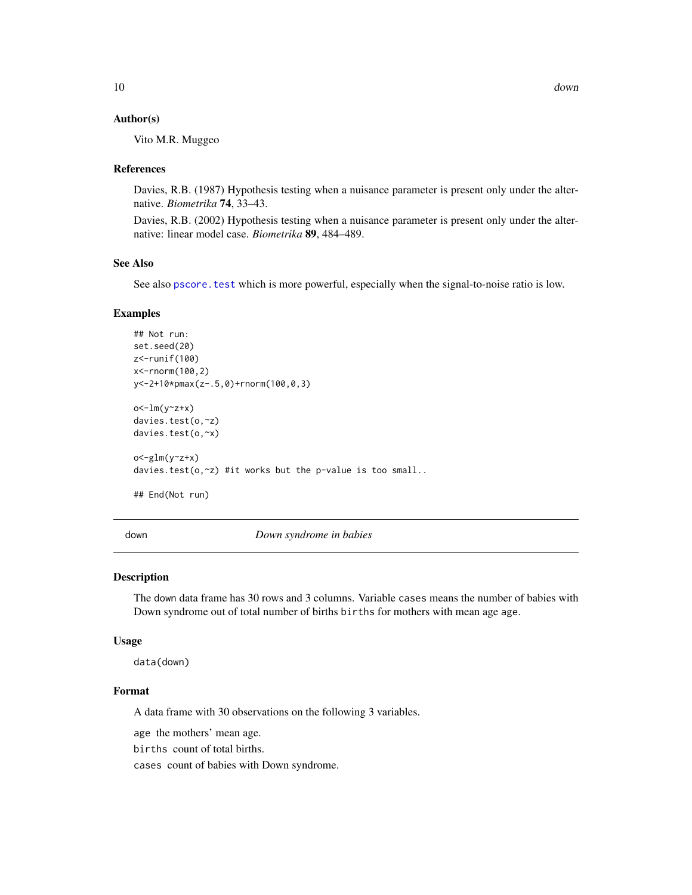#### <span id="page-9-0"></span>Author(s)

Vito M.R. Muggeo

#### References

Davies, R.B. (1987) Hypothesis testing when a nuisance parameter is present only under the alternative. *Biometrika* 74, 33–43.

Davies, R.B. (2002) Hypothesis testing when a nuisance parameter is present only under the alternative: linear model case. *Biometrika* 89, 484–489.

#### See Also

See also pscore. test which is more powerful, especially when the signal-to-noise ratio is low.

#### Examples

```
## Not run:
set.seed(20)
z<-runif(100)
x<-rnorm(100,2)
y<-2+10*pmax(z-.5,0)+rnorm(100,0,3)
o<-lm(y<sub>z</sub>+x)davies.test(o,~z)
davies.test(o,~x)
o<-glm(y~z+x)
davies.test(o,~z) #it works but the p-value is too small..
## End(Not run)
```
down *Down syndrome in babies*

# Description

The down data frame has 30 rows and 3 columns. Variable cases means the number of babies with Down syndrome out of total number of births births for mothers with mean age age.

#### Usage

data(down)

# Format

A data frame with 30 observations on the following 3 variables.

age the mothers' mean age.

births count of total births.

cases count of babies with Down syndrome.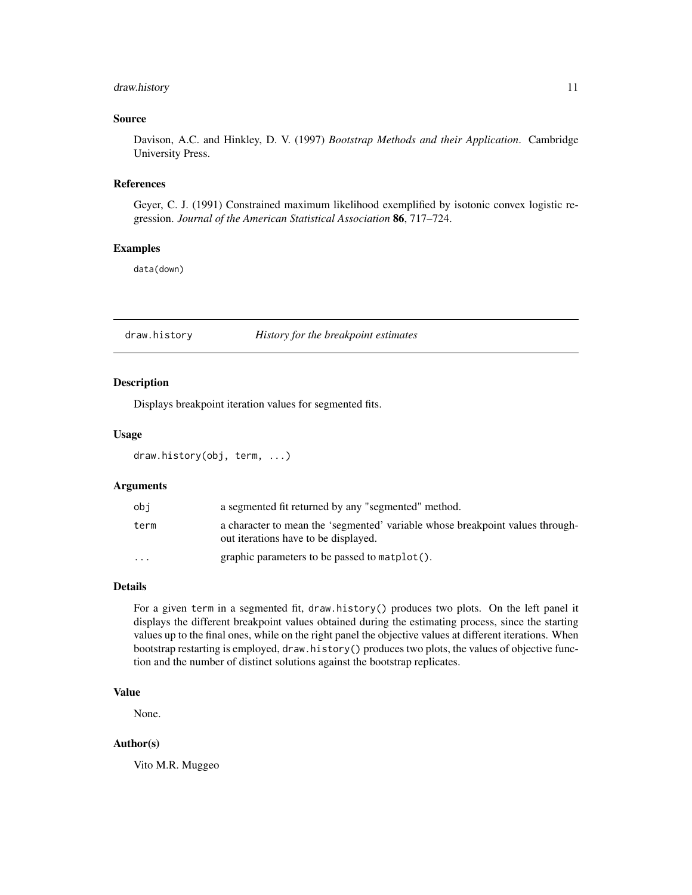# <span id="page-10-0"></span>draw.history 11

# Source

Davison, A.C. and Hinkley, D. V. (1997) *Bootstrap Methods and their Application*. Cambridge University Press.

#### References

Geyer, C. J. (1991) Constrained maximum likelihood exemplified by isotonic convex logistic regression. *Journal of the American Statistical Association* 86, 717–724.

# Examples

data(down)

draw.history *History for the breakpoint estimates*

# Description

Displays breakpoint iteration values for segmented fits.

# Usage

draw.history(obj, term, ...)

# Arguments

| obi       | a segmented fit returned by any "segmented" method.                                                                   |
|-----------|-----------------------------------------------------------------------------------------------------------------------|
| term      | a character to mean the 'segmented' variable whose breakpoint values through-<br>out iterations have to be displayed. |
| $\ddotsc$ | graphic parameters to be passed to matplot().                                                                         |

### Details

For a given term in a segmented fit, draw.history() produces two plots. On the left panel it displays the different breakpoint values obtained during the estimating process, since the starting values up to the final ones, while on the right panel the objective values at different iterations. When bootstrap restarting is employed, draw.history() produces two plots, the values of objective function and the number of distinct solutions against the bootstrap replicates.

# Value

None.

# Author(s)

Vito M.R. Muggeo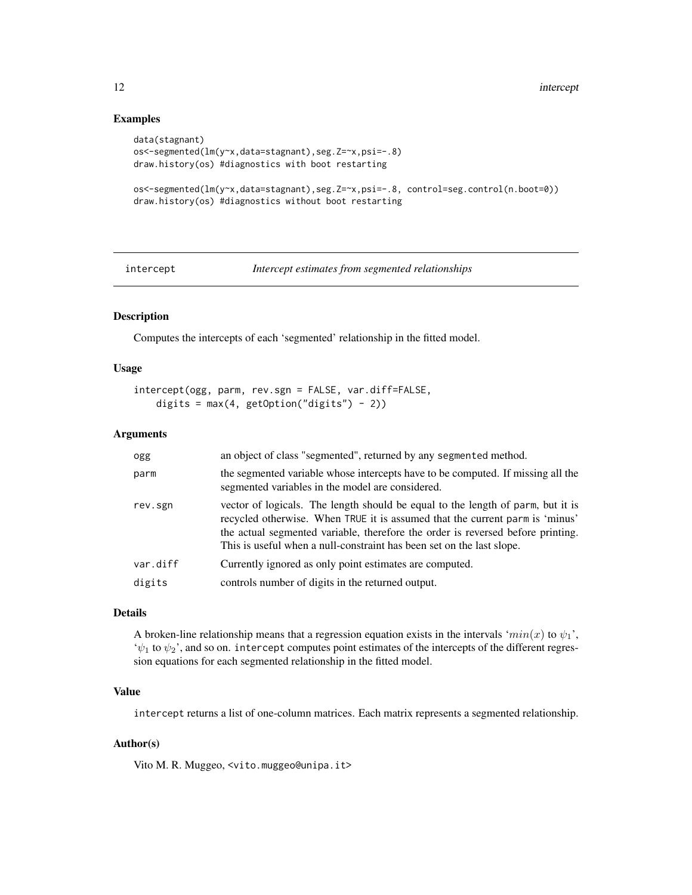# Examples

```
data(stagnant)
os<-segmented(lm(y~x,data=stagnant),seg.Z=~x,psi=-.8)
draw.history(os) #diagnostics with boot restarting
os<-segmented(lm(y~x,data=stagnant),seg.Z=~x,psi=-.8, control=seg.control(n.boot=0))
draw.history(os) #diagnostics without boot restarting
```

```
intercept Intercept estimates from segmented relationships
```
# Description

Computes the intercepts of each 'segmented' relationship in the fitted model.

# Usage

```
intercept(ogg, parm, rev.sgn = FALSE, var.diff=FALSE,
   digits = max(4, getOption("digits") - 2))
```
# Arguments

| ogg      | an object of class "segmented", returned by any segmented method.                                                                                                                                                                                                                                                           |
|----------|-----------------------------------------------------------------------------------------------------------------------------------------------------------------------------------------------------------------------------------------------------------------------------------------------------------------------------|
| parm     | the segmented variable whose intercepts have to be computed. If missing all the<br>segmented variables in the model are considered.                                                                                                                                                                                         |
| rev.sgn  | vector of logicals. The length should be equal to the length of parm, but it is<br>recycled otherwise. When TRUE it is assumed that the current parm is 'minus'<br>the actual segmented variable, therefore the order is reversed before printing.<br>This is useful when a null-constraint has been set on the last slope. |
| var.diff | Currently ignored as only point estimates are computed.                                                                                                                                                                                                                                                                     |
| digits   | controls number of digits in the returned output.                                                                                                                                                                                                                                                                           |

#### Details

A broken-line relationship means that a regression equation exists in the intervals ' $min(x)$  to  $\psi_1$ ',  $\psi_1$  to  $\psi_2$ ', and so on. intercept computes point estimates of the intercepts of the different regression equations for each segmented relationship in the fitted model.

# Value

intercept returns a list of one-column matrices. Each matrix represents a segmented relationship.

# Author(s)

Vito M. R. Muggeo, <vito.muggeo@unipa.it>

<span id="page-11-0"></span>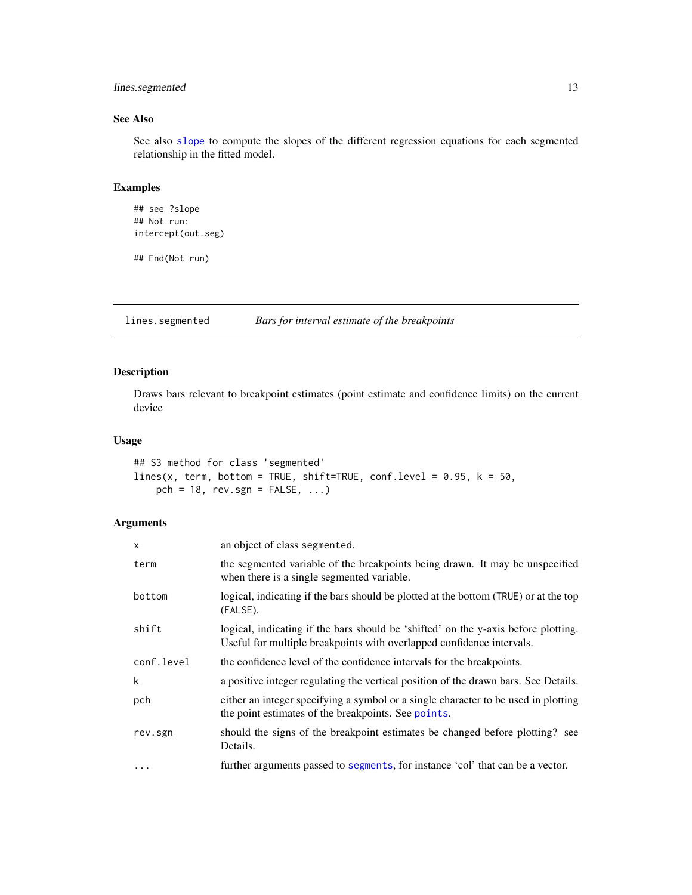# <span id="page-12-0"></span>lines.segmented 13

# See Also

See also [slope](#page-31-1) to compute the slopes of the different regression equations for each segmented relationship in the fitted model.

# Examples

```
## see ?slope
## Not run:
intercept(out.seg)
```
## End(Not run)

<span id="page-12-1"></span>lines.segmented *Bars for interval estimate of the breakpoints*

# Description

Draws bars relevant to breakpoint estimates (point estimate and confidence limits) on the current device

# Usage

```
## S3 method for class 'segmented'
lines(x, term, bottom = TRUE, shift=TRUE, conf.level = 0.95, k = 50,
    pch = 18, rev.\text{sgn} = \text{FALSE}, \ldots
```

| $\mathsf{x}$ | an object of class segmented.                                                                                                                               |
|--------------|-------------------------------------------------------------------------------------------------------------------------------------------------------------|
| term         | the segmented variable of the breakpoints being drawn. It may be unspecified<br>when there is a single segmented variable.                                  |
| bottom       | logical, indicating if the bars should be plotted at the bottom (TRUE) or at the top<br>(FALSE).                                                            |
| shift        | logical, indicating if the bars should be 'shifted' on the y-axis before plotting.<br>Useful for multiple breakpoints with overlapped confidence intervals. |
| conf.level   | the confidence level of the confidence intervals for the breakpoints.                                                                                       |
| k            | a positive integer regulating the vertical position of the drawn bars. See Details.                                                                         |
| pch          | either an integer specifying a symbol or a single character to be used in plotting<br>the point estimates of the breakpoints. See points.                   |
| rev.sgn      | should the signs of the breakpoint estimates be changed before plotting? see<br>Details.                                                                    |
| $\cdots$     | further arguments passed to segments, for instance 'col' that can be a vector.                                                                              |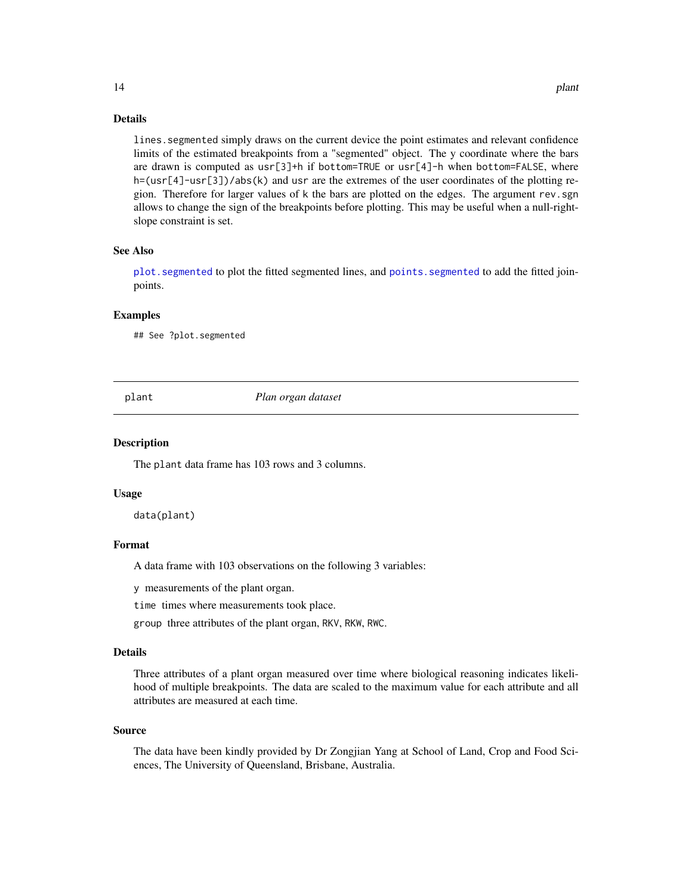lines.segmented simply draws on the current device the point estimates and relevant confidence limits of the estimated breakpoints from a "segmented" object. The y coordinate where the bars are drawn is computed as usr[3]+h if bottom=TRUE or usr[4]-h when bottom=FALSE, where h=(usr[4]-usr[3])/abs(k) and usr are the extremes of the user coordinates of the plotting region. Therefore for larger values of k the bars are plotted on the edges. The argument rev.sgn allows to change the sign of the breakpoints before plotting. This may be useful when a null-rightslope constraint is set.

#### See Also

[plot.segmented](#page-14-1) to plot the fitted segmented lines, and [points.segmented](#page-16-1) to add the fitted joinpoints.

#### Examples

## See ?plot.segmented

plant *Plan organ dataset*

#### Description

The plant data frame has 103 rows and 3 columns.

#### Usage

data(plant)

# Format

A data frame with 103 observations on the following 3 variables:

y measurements of the plant organ.

time times where measurements took place.

group three attributes of the plant organ, RKV, RKW, RWC.

# Details

Three attributes of a plant organ measured over time where biological reasoning indicates likelihood of multiple breakpoints. The data are scaled to the maximum value for each attribute and all attributes are measured at each time.

#### Source

The data have been kindly provided by Dr Zongjian Yang at School of Land, Crop and Food Sciences, The University of Queensland, Brisbane, Australia.

<span id="page-13-0"></span>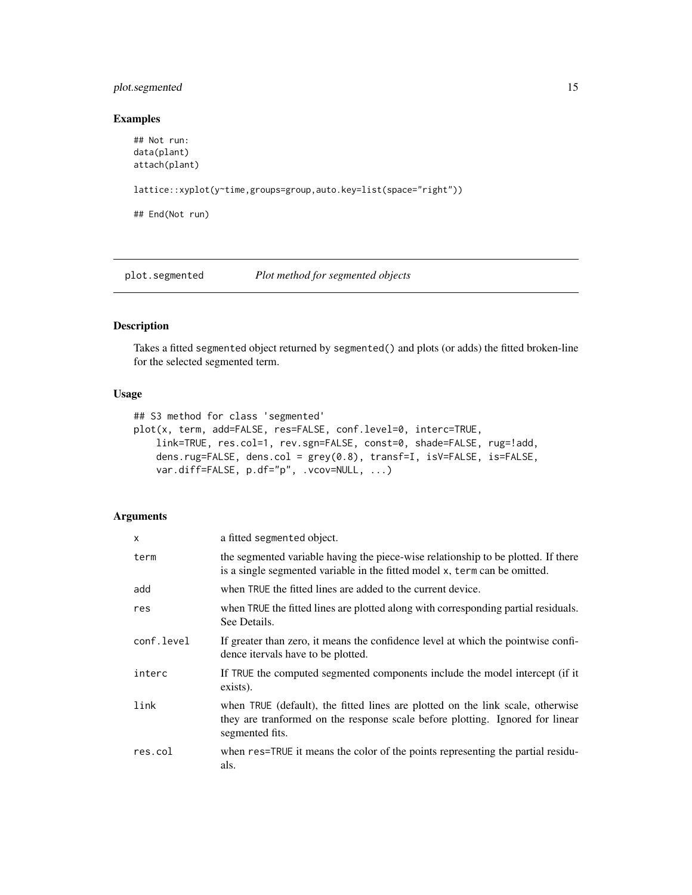# <span id="page-14-0"></span>plot.segmented 15

# Examples

```
## Not run:
data(plant)
attach(plant)
lattice::xyplot(y~time,groups=group,auto.key=list(space="right"))
## End(Not run)
```
<span id="page-14-1"></span>plot.segmented *Plot method for segmented objects*

# Description

Takes a fitted segmented object returned by segmented() and plots (or adds) the fitted broken-line for the selected segmented term.

# Usage

```
## S3 method for class 'segmented'
plot(x, term, add=FALSE, res=FALSE, conf.level=0, interc=TRUE,
    link=TRUE, res.col=1, rev.sgn=FALSE, const=0, shade=FALSE, rug=!add,
    dens.rug=FALSE, dens.col = grey(0.8), transf=I, isV=FALSE, is=FALSE,
    var.diff=FALSE, p.df="p", .vcov=NULL, ...)
```

| X          | a fitted segmented object.                                                                                                                                                         |
|------------|------------------------------------------------------------------------------------------------------------------------------------------------------------------------------------|
| term       | the segmented variable having the piece-wise relationship to be plotted. If there<br>is a single segmented variable in the fitted model x, term can be omitted.                    |
| add        | when TRUE the fitted lines are added to the current device.                                                                                                                        |
| res        | when TRUE the fitted lines are plotted along with corresponding partial residuals.<br>See Details.                                                                                 |
| conf.level | If greater than zero, it means the confidence level at which the pointwise confi-<br>dence itervals have to be plotted.                                                            |
| interc     | If TRUE the computed segmented components include the model intercept (if it<br>exists).                                                                                           |
| link       | when TRUE (default), the fitted lines are plotted on the link scale, otherwise<br>they are tranformed on the response scale before plotting. Ignored for linear<br>segmented fits. |
| res.col    | when res=TRUE it means the color of the points representing the partial residu-<br>als.                                                                                            |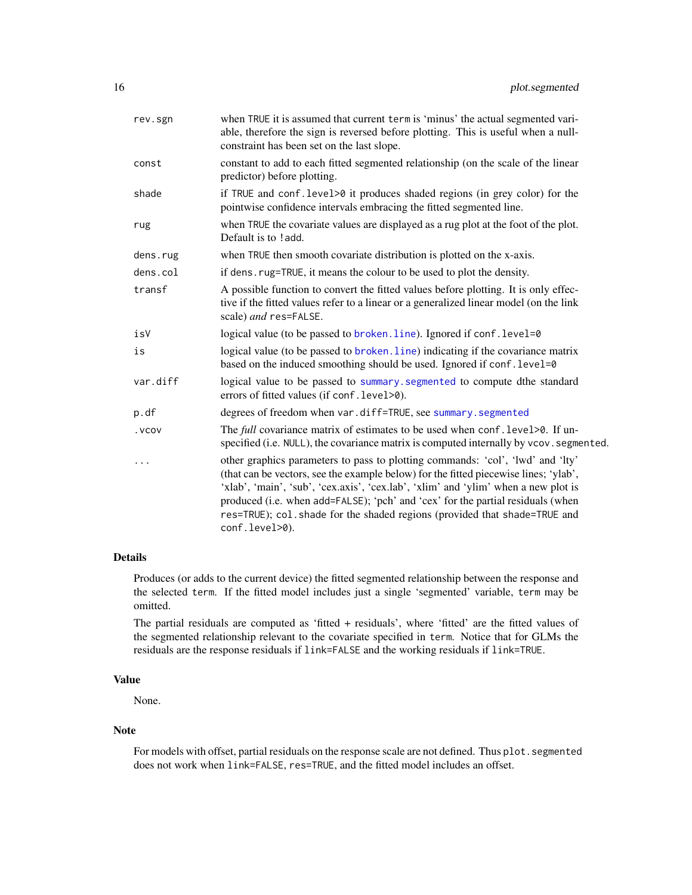<span id="page-15-0"></span>

| rev.sgn  | when TRUE it is assumed that current term is 'minus' the actual segmented vari-<br>able, therefore the sign is reversed before plotting. This is useful when a null-<br>constraint has been set on the last slope.                                                                                                                                                                                                                             |
|----------|------------------------------------------------------------------------------------------------------------------------------------------------------------------------------------------------------------------------------------------------------------------------------------------------------------------------------------------------------------------------------------------------------------------------------------------------|
| const    | constant to add to each fitted segmented relationship (on the scale of the linear<br>predictor) before plotting.                                                                                                                                                                                                                                                                                                                               |
| shade    | if TRUE and conf. level>0 it produces shaded regions (in grey color) for the<br>pointwise confidence intervals embracing the fitted segmented line.                                                                                                                                                                                                                                                                                            |
| rug      | when TRUE the covariate values are displayed as a rug plot at the foot of the plot.<br>Default is to !add.                                                                                                                                                                                                                                                                                                                                     |
| dens.rug | when TRUE then smooth covariate distribution is plotted on the x-axis.                                                                                                                                                                                                                                                                                                                                                                         |
| dens.col | if dens. rug=TRUE, it means the colour to be used to plot the density.                                                                                                                                                                                                                                                                                                                                                                         |
| transf   | A possible function to convert the fitted values before plotting. It is only effec-<br>tive if the fitted values refer to a linear or a generalized linear model (on the link<br>scale) and res=FALSE.                                                                                                                                                                                                                                         |
| isV      | logical value (to be passed to broken.line). Ignored if conf.level=0                                                                                                                                                                                                                                                                                                                                                                           |
| is       | logical value (to be passed to broken. line) indicating if the covariance matrix<br>based on the induced smoothing should be used. Ignored if conf. level=0                                                                                                                                                                                                                                                                                    |
| var.diff | logical value to be passed to summary. segmented to compute dthe standard<br>errors of fitted values (if conf. level>0).                                                                                                                                                                                                                                                                                                                       |
| p.df     | degrees of freedom when var.diff=TRUE, see summary.segmented                                                                                                                                                                                                                                                                                                                                                                                   |
| . VCOV   | The full covariance matrix of estimates to be used when conf. level>0. If un-<br>specified (i.e. NULL), the covariance matrix is computed internally by vcov. segmented.                                                                                                                                                                                                                                                                       |
| .        | other graphics parameters to pass to plotting commands: 'col', 'lwd' and 'lty'<br>(that can be vectors, see the example below) for the fitted piecewise lines; 'ylab',<br>'xlab', 'main', 'sub', 'cex.axis', 'cex.lab', 'xlim' and 'ylim' when a new plot is<br>produced (i.e. when add=FALSE); 'pch' and 'cex' for the partial residuals (when<br>res=TRUE); col.shade for the shaded regions (provided that shade=TRUE and<br>conf.level>0). |

# Details

Produces (or adds to the current device) the fitted segmented relationship between the response and the selected term. If the fitted model includes just a single 'segmented' variable, term may be omitted.

The partial residuals are computed as 'fitted + residuals', where 'fitted' are the fitted values of the segmented relationship relevant to the covariate specified in term. Notice that for GLMs the residuals are the response residuals if link=FALSE and the working residuals if link=TRUE.

# Value

None.

# Note

For models with offset, partial residuals on the response scale are not defined. Thus plot. segmented does not work when link=FALSE, res=TRUE, and the fitted model includes an offset.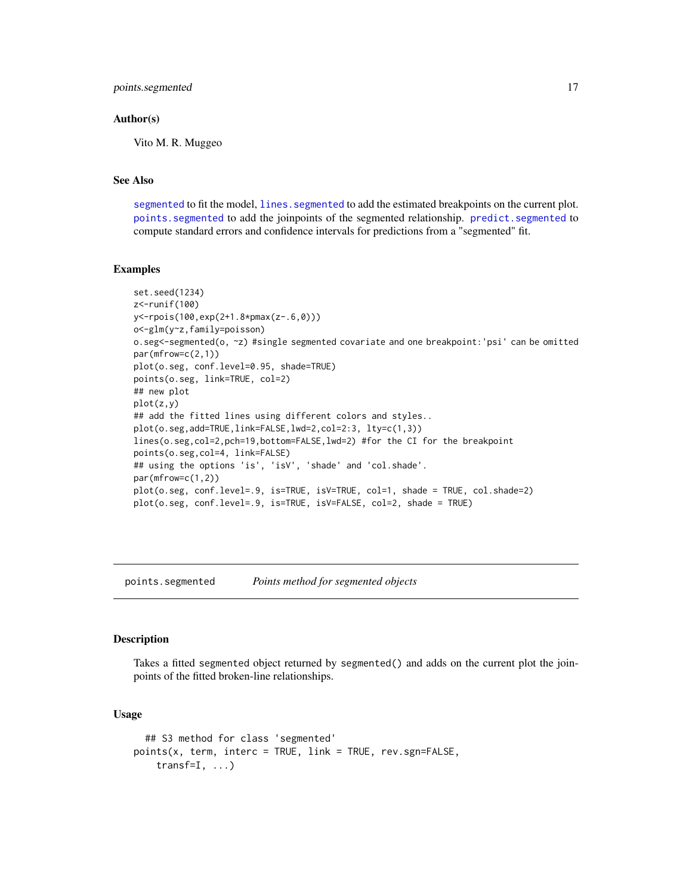# <span id="page-16-0"></span>Author(s)

Vito M. R. Muggeo

# See Also

[segmented](#page-26-2) to fit the model, lines. segmented to add the estimated breakpoints on the current plot. [points.segmented](#page-16-1) to add the joinpoints of the segmented relationship. [predict.segmented](#page-17-1) to compute standard errors and confidence intervals for predictions from a "segmented" fit.

#### Examples

```
set.seed(1234)
z<-runif(100)
y<-rpois(100,exp(2+1.8*pmax(z-.6,0)))
o<-glm(y~z,family=poisson)
o.seg<-segmented(o, ~z) #single segmented covariate and one breakpoint:'psi' can be omitted
par(mfrow=c(2,1))
plot(o.seg, conf.level=0.95, shade=TRUE)
points(o.seg, link=TRUE, col=2)
## new plot
plot(z,y)
## add the fitted lines using different colors and styles..
plot(o.seg,add=TRUE,link=FALSE,lwd=2,col=2:3, lty=c(1,3))
lines(o.seg,col=2,pch=19,bottom=FALSE,lwd=2) #for the CI for the breakpoint
points(o.seg,col=4, link=FALSE)
## using the options 'is', 'isV', 'shade' and 'col.shade'.
par(mfrow=c(1,2))
plot(o.seg, conf.level=.9, is=TRUE, isV=TRUE, col=1, shade = TRUE, col.shade=2)
plot(o.seg, conf.level=.9, is=TRUE, isV=FALSE, col=2, shade = TRUE)
```
<span id="page-16-1"></span>points.segmented *Points method for segmented objects*

#### Description

Takes a fitted segmented object returned by segmented() and adds on the current plot the joinpoints of the fitted broken-line relationships.

# Usage

```
## S3 method for class 'segmented'
points(x, term, interc = TRUE, link = TRUE, rev.sgn=FALSE,
    transf=I, \ldots)
```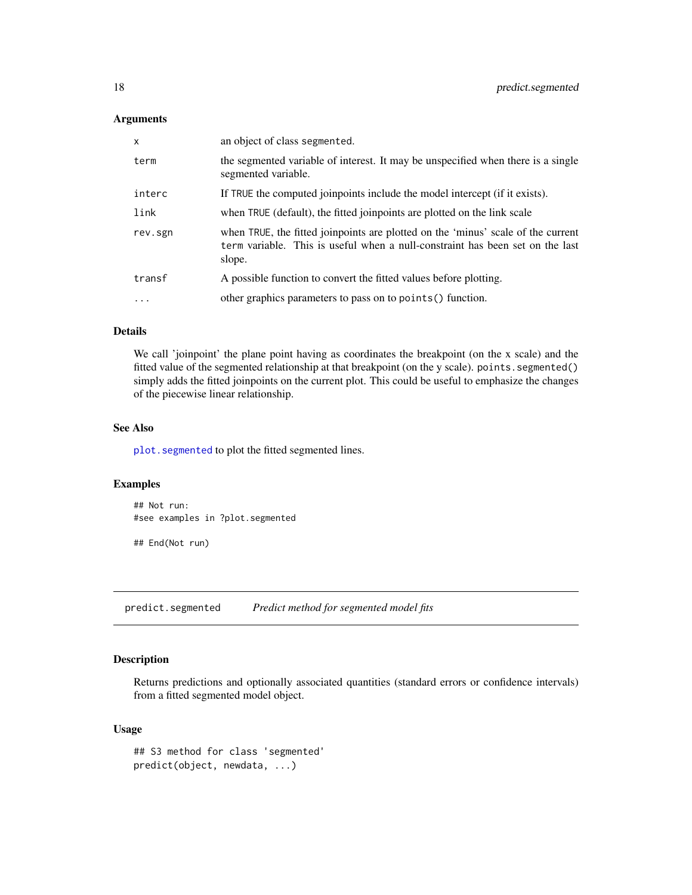### <span id="page-17-0"></span>Arguments

| $\mathsf{x}$ | an object of class segmented.                                                                                                                                               |
|--------------|-----------------------------------------------------------------------------------------------------------------------------------------------------------------------------|
| term         | the segmented variable of interest. It may be unspecified when there is a single<br>segmented variable.                                                                     |
| interc       | If TRUE the computed joinpoints include the model intercept (if it exists).                                                                                                 |
| link         | when TRUE (default), the fitted joinpoints are plotted on the link scale                                                                                                    |
| rev.sgn      | when TRUE, the fitted joinpoints are plotted on the 'minus' scale of the current<br>term variable. This is useful when a null-constraint has been set on the last<br>slope. |
| transf       | A possible function to convert the fitted values before plotting.                                                                                                           |
| $\cdots$     | other graphics parameters to pass on to points () function.                                                                                                                 |

# Details

We call 'joinpoint' the plane point having as coordinates the breakpoint (on the x scale) and the fitted value of the segmented relationship at that breakpoint (on the y scale). points. segmented() simply adds the fitted joinpoints on the current plot. This could be useful to emphasize the changes of the piecewise linear relationship.

# See Also

[plot.segmented](#page-14-1) to plot the fitted segmented lines.

# Examples

## Not run: #see examples in ?plot.segmented

## End(Not run)

<span id="page-17-1"></span>predict.segmented *Predict method for segmented model fits*

# Description

Returns predictions and optionally associated quantities (standard errors or confidence intervals) from a fitted segmented model object.

# Usage

```
## S3 method for class 'segmented'
predict(object, newdata, ...)
```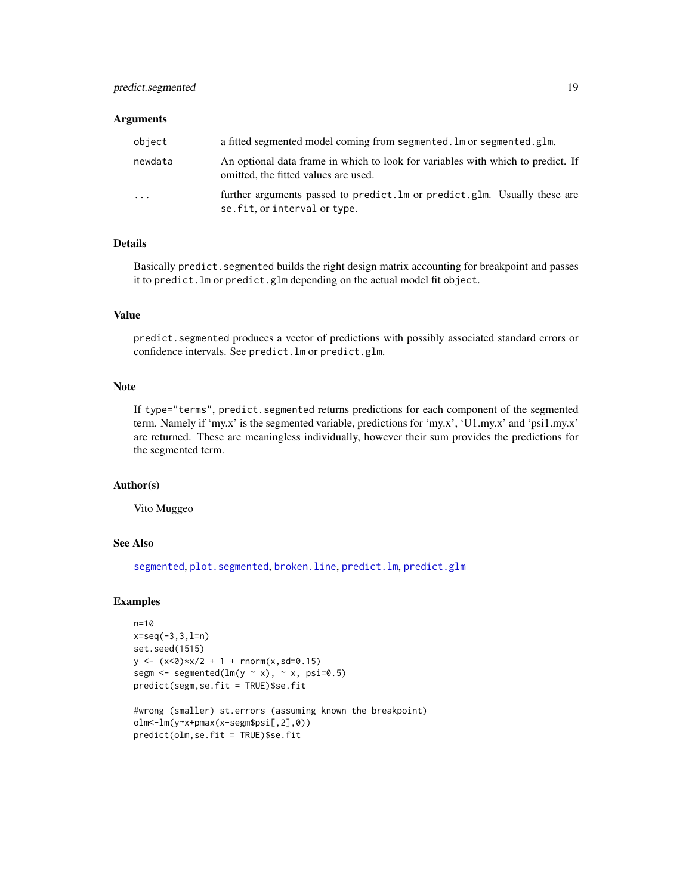#### <span id="page-18-0"></span>**Arguments**

| object   | a fitted segmented model coming from segmented. Im or segmented. glm.                                                   |
|----------|-------------------------------------------------------------------------------------------------------------------------|
| newdata  | An optional data frame in which to look for variables with which to predict. If<br>omitted, the fitted values are used. |
| $\cdots$ | further arguments passed to predict. Im or predict. glm. Usually these are<br>se. fit, or interval or type.             |

# Details

Basically predict.segmented builds the right design matrix accounting for breakpoint and passes it to predict.lm or predict.glm depending on the actual model fit object.

# Value

predict.segmented produces a vector of predictions with possibly associated standard errors or confidence intervals. See predict.lm or predict.glm.

# Note

If type="terms", predict.segmented returns predictions for each component of the segmented term. Namely if 'my.x' is the segmented variable, predictions for 'my.x', 'U1.my.x' and 'psi1.my.x' are returned. These are meaningless individually, however their sum provides the predictions for the segmented term.

#### Author(s)

Vito Muggeo

# See Also

[segmented](#page-26-2), [plot.segmented](#page-14-1), [broken.line](#page-4-1), [predict.lm](#page-0-0), [predict.glm](#page-0-0)

# Examples

```
n=10
x = seq(-3, 3, l=n)set.seed(1515)
y \leftarrow (x < 0) * x / 2 + 1 + \text{norm}(x, sd = 0.15)segm \leq segmented(lm(y \sim x), \sim x, psi=0.5)
predict(segm,se.fit = TRUE)$se.fit
#wrong (smaller) st.errors (assuming known the breakpoint)
```

```
olm<-lm(y~x+pmax(x-segm$psi[,2],0))
predict(olm,se.fit = TRUE)$se.fit
```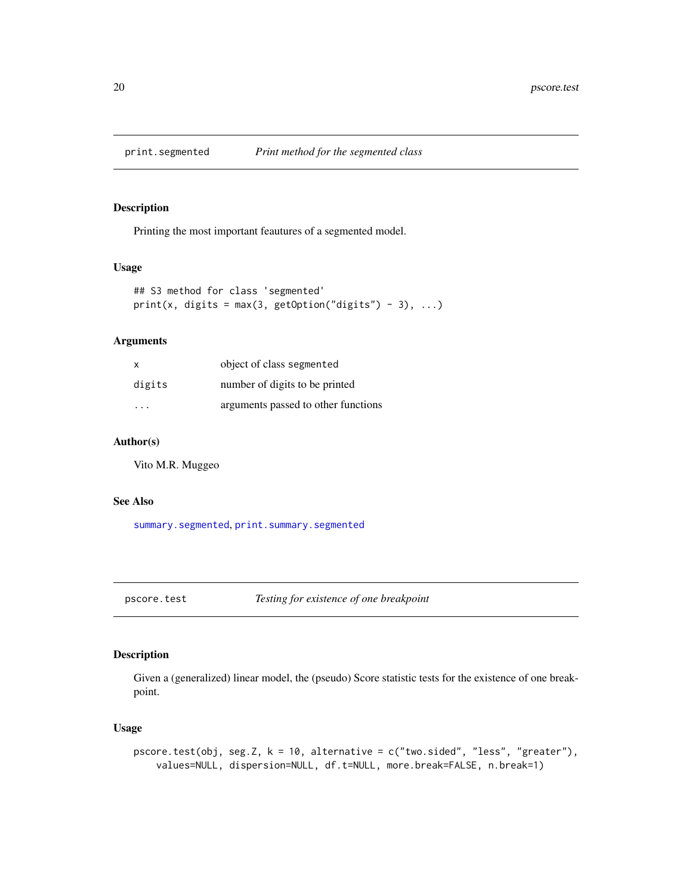<span id="page-19-2"></span><span id="page-19-0"></span>

# Description

Printing the most important feautures of a segmented model.

# Usage

```
## S3 method for class 'segmented'
print(x, \text{ digits} = max(3, \text{ getOption("digits") - 3), ...)
```
# Arguments

| $\mathsf{x}$ | object of class segmented           |
|--------------|-------------------------------------|
| digits       | number of digits to be printed      |
| .            | arguments passed to other functions |

# Author(s)

Vito M.R. Muggeo

#### See Also

[summary.segmented](#page-34-1), [print.summary.segmented](#page-34-2)

<span id="page-19-1"></span>pscore.test *Testing for existence of one breakpoint*

# Description

Given a (generalized) linear model, the (pseudo) Score statistic tests for the existence of one breakpoint.

# Usage

```
pscore.test(obj, seg.Z, k = 10, alternative = c("two.sided", "less", "greater"),
    values=NULL, dispersion=NULL, df.t=NULL, more.break=FALSE, n.break=1)
```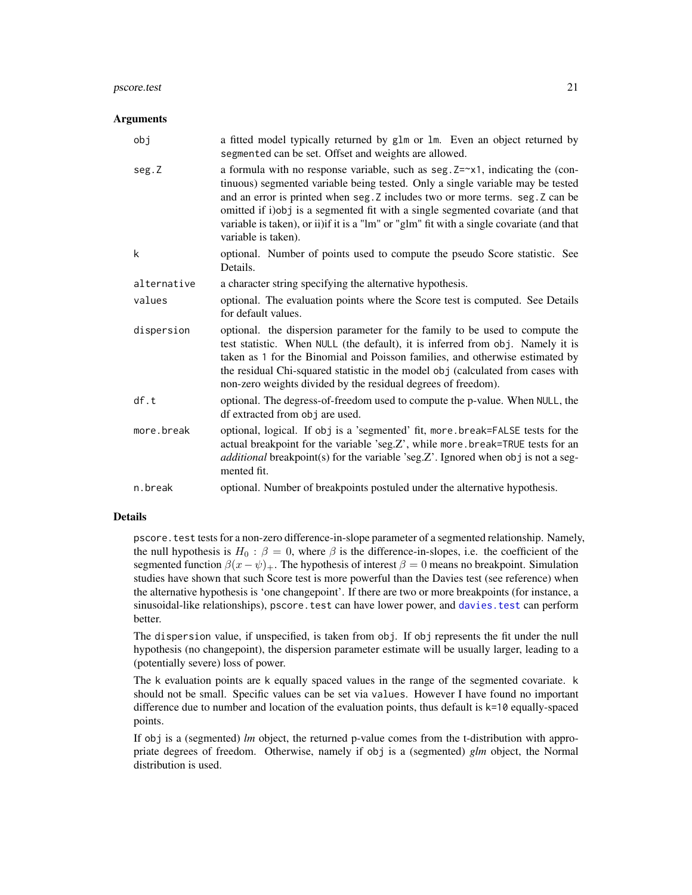#### <span id="page-20-0"></span>pscore.test 21

#### **Arguments**

| obj         | a fitted model typically returned by glm or lm. Even an object returned by                                                                                                                                                                                                                                                                                                                                                                                        |
|-------------|-------------------------------------------------------------------------------------------------------------------------------------------------------------------------------------------------------------------------------------------------------------------------------------------------------------------------------------------------------------------------------------------------------------------------------------------------------------------|
|             | segmented can be set. Offset and weights are allowed.                                                                                                                                                                                                                                                                                                                                                                                                             |
| seg.Z       | a formula with no response variable, such as seg. $Z = \gamma 1$ , indicating the (con-<br>tinuous) segmented variable being tested. Only a single variable may be tested<br>and an error is printed when seg. Z includes two or more terms. seg. Z can be<br>omitted if i)obj is a segmented fit with a single segmented covariate (and that<br>variable is taken), or ii) if it is a "lm" or "glm" fit with a single covariate (and that<br>variable is taken). |
| k           | optional. Number of points used to compute the pseudo Score statistic. See<br>Details.                                                                                                                                                                                                                                                                                                                                                                            |
| alternative | a character string specifying the alternative hypothesis.                                                                                                                                                                                                                                                                                                                                                                                                         |
| values      | optional. The evaluation points where the Score test is computed. See Details<br>for default values.                                                                                                                                                                                                                                                                                                                                                              |
| dispersion  | optional. the dispersion parameter for the family to be used to compute the<br>test statistic. When NULL (the default), it is inferred from obj. Namely it is<br>taken as 1 for the Binomial and Poisson families, and otherwise estimated by<br>the residual Chi-squared statistic in the model obj (calculated from cases with<br>non-zero weights divided by the residual degrees of freedom).                                                                 |
| df.t        | optional. The degress-of-freedom used to compute the p-value. When NULL, the<br>df extracted from obj are used.                                                                                                                                                                                                                                                                                                                                                   |
| more.break  | optional, logical. If obj is a 'segmented' fit, more break=FALSE tests for the<br>actual breakpoint for the variable 'seg.Z', while more.break=TRUE tests for an<br><i>additional</i> breakpoint(s) for the variable 'seg.Z'. Ignored when obj is not a seg-<br>mented fit.                                                                                                                                                                                       |
| n.break     | optional. Number of breakpoints postuled under the alternative hypothesis.                                                                                                                                                                                                                                                                                                                                                                                        |

# Details

pscore.test tests for a non-zero difference-in-slope parameter of a segmented relationship. Namely, the null hypothesis is  $H_0$ :  $\beta = 0$ , where  $\beta$  is the difference-in-slopes, i.e. the coefficient of the segmented function  $\beta(x - \psi)_+$ . The hypothesis of interest  $\beta = 0$  means no breakpoint. Simulation studies have shown that such Score test is more powerful than the Davies test (see reference) when the alternative hypothesis is 'one changepoint'. If there are two or more breakpoints (for instance, a sinusoidal-like relationships), pscore.test can have lower power, and [davies.test](#page-7-1) can perform better.

The dispersion value, if unspecified, is taken from obj. If obj represents the fit under the null hypothesis (no changepoint), the dispersion parameter estimate will be usually larger, leading to a (potentially severe) loss of power.

The k evaluation points are k equally spaced values in the range of the segmented covariate. k should not be small. Specific values can be set via values. However I have found no important difference due to number and location of the evaluation points, thus default is k=10 equally-spaced points.

If obj is a (segmented) *lm* object, the returned p-value comes from the t-distribution with appropriate degrees of freedom. Otherwise, namely if obj is a (segmented) *glm* object, the Normal distribution is used.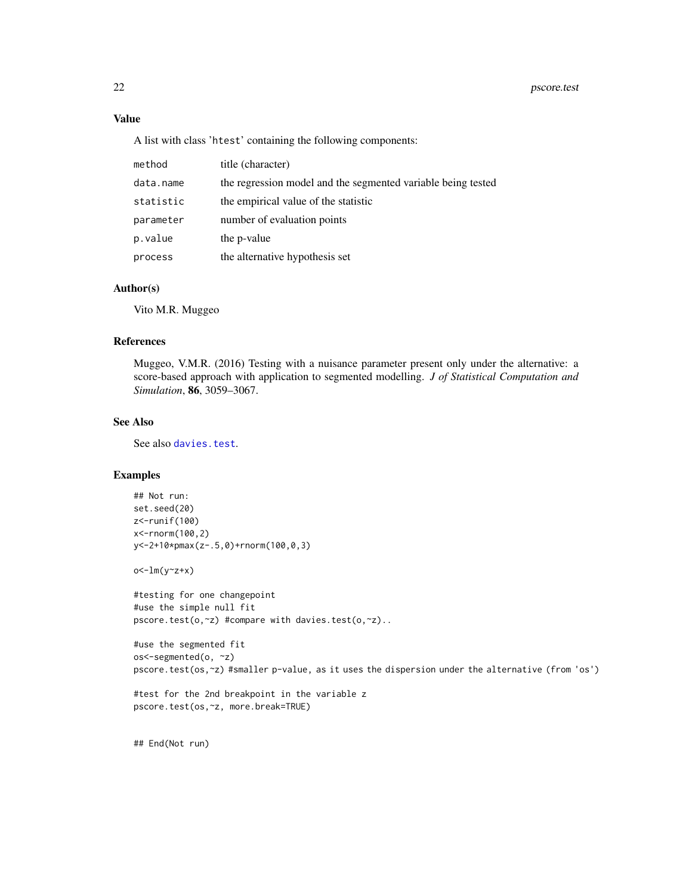# <span id="page-21-0"></span>Value

A list with class 'htest' containing the following components:

| method    | title (character)                                            |
|-----------|--------------------------------------------------------------|
| data.name | the regression model and the segmented variable being tested |
| statistic | the empirical value of the statistic                         |
| parameter | number of evaluation points                                  |
| p.value   | the p-value                                                  |
| process   | the alternative hypothesis set                               |

#### Author(s)

Vito M.R. Muggeo

# References

Muggeo, V.M.R. (2016) Testing with a nuisance parameter present only under the alternative: a score-based approach with application to segmented modelling. *J of Statistical Computation and Simulation*, 86, 3059–3067.

# See Also

See also [davies.test](#page-7-1).

# Examples

```
## Not run:
set.seed(20)
z<-runif(100)
x<-rnorm(100,2)
y<-2+10*pmax(z-.5,0)+rnorm(100,0,3)
```
o<-lm(y~z+x)

```
#testing for one changepoint
#use the simple null fit
pscore.test(o,~z) #compare with davies.test(o,~z)..
```

```
#use the segmented fit
os<-segmented(o, ~z)
pscore.test(os,~z) #smaller p-value, as it uses the dispersion under the alternative (from 'os')
```

```
#test for the 2nd breakpoint in the variable z
pscore.test(os,~z, more.break=TRUE)
```
## End(Not run)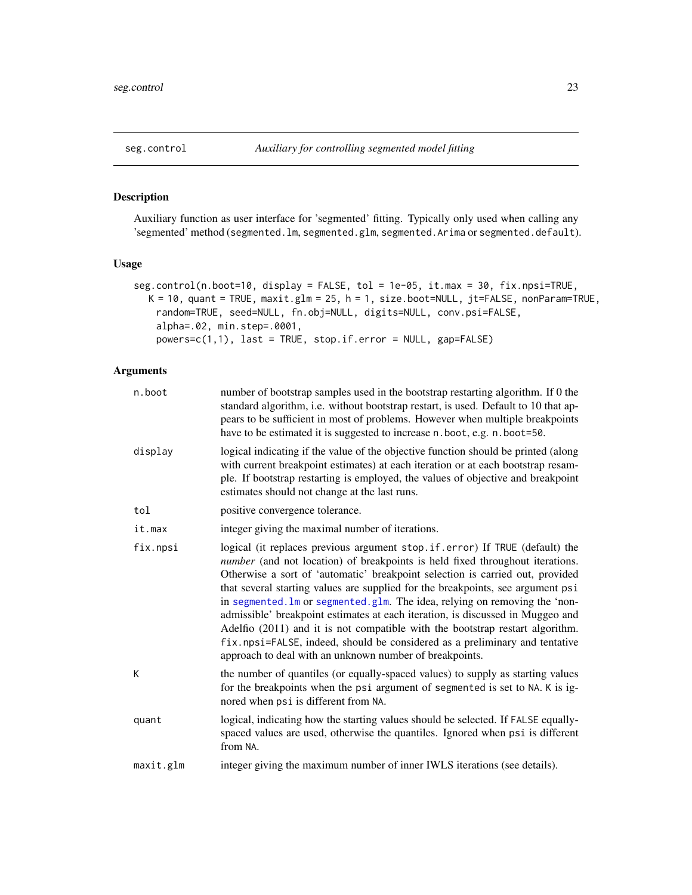# <span id="page-22-1"></span><span id="page-22-0"></span>Description

Auxiliary function as user interface for 'segmented' fitting. Typically only used when calling any 'segmented' method (segmented.lm, segmented.glm, segmented.Arima or segmented.default).

# Usage

```
seg.control(n.boot=10, display = FALSE, tol = 1e-05, it.max = 30, fix.npsi=TRUE,
  K = 10, quant = TRUE, maxit.glm = 25, h = 1, size.boot=NULL, jt=FALSE, nonParam=TRUE,
   random=TRUE, seed=NULL, fn.obj=NULL, digits=NULL, conv.psi=FALSE,
    alpha=.02, min.step=.0001,
    powers=c(1,1), last = TRUE, stop.if.error = NULL, gap=FALSE)
```

| n.boot    | number of bootstrap samples used in the bootstrap restarting algorithm. If 0 the<br>standard algorithm, i.e. without bootstrap restart, is used. Default to 10 that ap-<br>pears to be sufficient in most of problems. However when multiple breakpoints<br>have to be estimated it is suggested to increase n.boot, e.g. n.boot=50.                                                                                                                                                                                                                                                                                                                                                                                         |
|-----------|------------------------------------------------------------------------------------------------------------------------------------------------------------------------------------------------------------------------------------------------------------------------------------------------------------------------------------------------------------------------------------------------------------------------------------------------------------------------------------------------------------------------------------------------------------------------------------------------------------------------------------------------------------------------------------------------------------------------------|
| display   | logical indicating if the value of the objective function should be printed (along<br>with current breakpoint estimates) at each iteration or at each bootstrap resam-<br>ple. If bootstrap restarting is employed, the values of objective and breakpoint<br>estimates should not change at the last runs.                                                                                                                                                                                                                                                                                                                                                                                                                  |
| tol       | positive convergence tolerance.                                                                                                                                                                                                                                                                                                                                                                                                                                                                                                                                                                                                                                                                                              |
| it.max    | integer giving the maximal number of iterations.                                                                                                                                                                                                                                                                                                                                                                                                                                                                                                                                                                                                                                                                             |
| fix.npsi  | logical (it replaces previous argument stop.if.error) If TRUE (default) the<br>number (and not location) of breakpoints is held fixed throughout iterations.<br>Otherwise a sort of 'automatic' breakpoint selection is carried out, provided<br>that several starting values are supplied for the breakpoints, see argument psi<br>in segmented. Im or segmented. glm. The idea, relying on removing the 'non-<br>admissible' breakpoint estimates at each iteration, is discussed in Muggeo and<br>Adelfio (2011) and it is not compatible with the bootstrap restart algorithm.<br>fix.npsi=FALSE, indeed, should be considered as a preliminary and tentative<br>approach to deal with an unknown number of breakpoints. |
| К         | the number of quantiles (or equally-spaced values) to supply as starting values<br>for the breakpoints when the psi argument of segmented is set to NA. K is ig-<br>nored when psi is different from NA.                                                                                                                                                                                                                                                                                                                                                                                                                                                                                                                     |
| quant     | logical, indicating how the starting values should be selected. If FALSE equally-<br>spaced values are used, otherwise the quantiles. Ignored when psi is different<br>from NA.                                                                                                                                                                                                                                                                                                                                                                                                                                                                                                                                              |
| maxit.glm | integer giving the maximum number of inner IWLS iterations (see details).                                                                                                                                                                                                                                                                                                                                                                                                                                                                                                                                                                                                                                                    |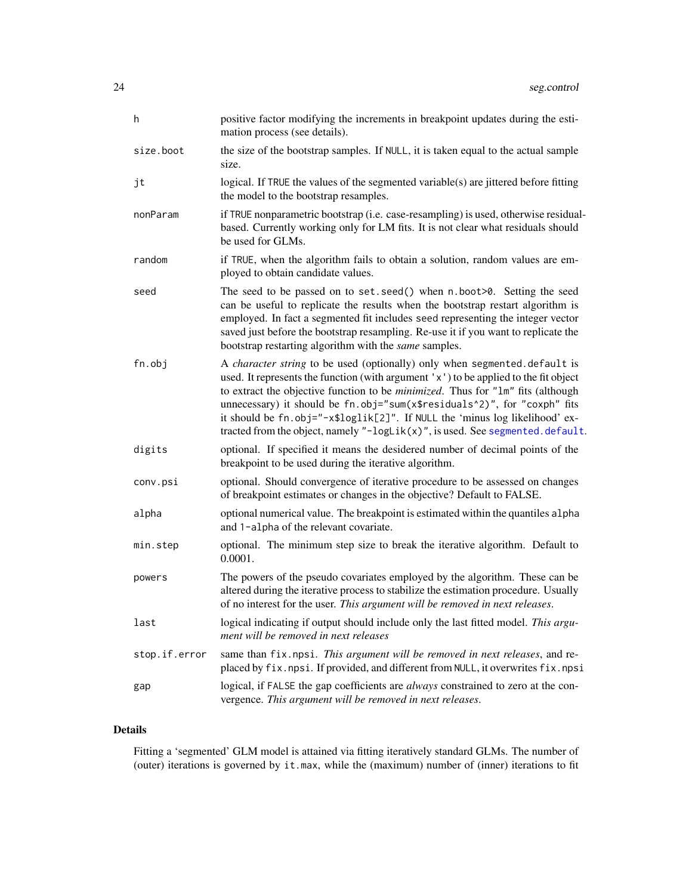<span id="page-23-0"></span>

| h             | positive factor modifying the increments in breakpoint updates during the esti-<br>mation process (see details).                                                                                                                                                                                                                                                                                                                                                                                                      |
|---------------|-----------------------------------------------------------------------------------------------------------------------------------------------------------------------------------------------------------------------------------------------------------------------------------------------------------------------------------------------------------------------------------------------------------------------------------------------------------------------------------------------------------------------|
| size.boot     | the size of the bootstrap samples. If NULL, it is taken equal to the actual sample<br>size.                                                                                                                                                                                                                                                                                                                                                                                                                           |
| jt            | logical. If TRUE the values of the segmented variable( $s$ ) are jittered before fitting<br>the model to the bootstrap resamples.                                                                                                                                                                                                                                                                                                                                                                                     |
| nonParam      | if TRUE nonparametric bootstrap (i.e. case-resampling) is used, otherwise residual-<br>based. Currently working only for LM fits. It is not clear what residuals should<br>be used for GLMs.                                                                                                                                                                                                                                                                                                                          |
| random        | if TRUE, when the algorithm fails to obtain a solution, random values are em-<br>ployed to obtain candidate values.                                                                                                                                                                                                                                                                                                                                                                                                   |
| seed          | The seed to be passed on to set. seed() when n. boot>0. Setting the seed<br>can be useful to replicate the results when the bootstrap restart algorithm is<br>employed. In fact a segmented fit includes seed representing the integer vector<br>saved just before the bootstrap resampling. Re-use it if you want to replicate the<br>bootstrap restarting algorithm with the same samples.                                                                                                                          |
| fn.obj        | A character string to be used (optionally) only when segmented.default is<br>used. It represents the function (with argument 'x') to be applied to the fit object<br>to extract the objective function to be <i>minimized</i> . Thus for "1m" fits (although<br>unnecessary) it should be fn.obj="sum(x\$residuals^2)", for "coxph" fits<br>it should be fn.obj="-x\$loglik[2]". If NULL the 'minus log likelihood' ex-<br>tracted from the object, namely " $-\log\text{Lik}(x)$ ", is used. See segmented. default. |
| digits        | optional. If specified it means the desidered number of decimal points of the<br>breakpoint to be used during the iterative algorithm.                                                                                                                                                                                                                                                                                                                                                                                |
| conv.psi      | optional. Should convergence of iterative procedure to be assessed on changes<br>of breakpoint estimates or changes in the objective? Default to FALSE.                                                                                                                                                                                                                                                                                                                                                               |
| alpha         | optional numerical value. The breakpoint is estimated within the quantiles alpha<br>and 1-alpha of the relevant covariate.                                                                                                                                                                                                                                                                                                                                                                                            |
| min.step      | optional. The minimum step size to break the iterative algorithm. Default to<br>0.0001.                                                                                                                                                                                                                                                                                                                                                                                                                               |
| powers        | The powers of the pseudo covariates employed by the algorithm. These can be<br>altered during the iterative process to stabilize the estimation procedure. Usually<br>of no interest for the user. This argument will be removed in next releases.                                                                                                                                                                                                                                                                    |
| last          | logical indicating if output should include only the last fitted model. This argu-<br>ment will be removed in next releases                                                                                                                                                                                                                                                                                                                                                                                           |
| stop.if.error | same than fix.npsi. This argument will be removed in next releases, and re-<br>placed by fix.npsi. If provided, and different from NULL, it overwrites fix.npsi                                                                                                                                                                                                                                                                                                                                                       |
| gap           | logical, if FALSE the gap coefficients are always constrained to zero at the con-<br>vergence. This argument will be removed in next releases.                                                                                                                                                                                                                                                                                                                                                                        |

# Details

Fitting a 'segmented' GLM model is attained via fitting iteratively standard GLMs. The number of (outer) iterations is governed by it.max, while the (maximum) number of (inner) iterations to fit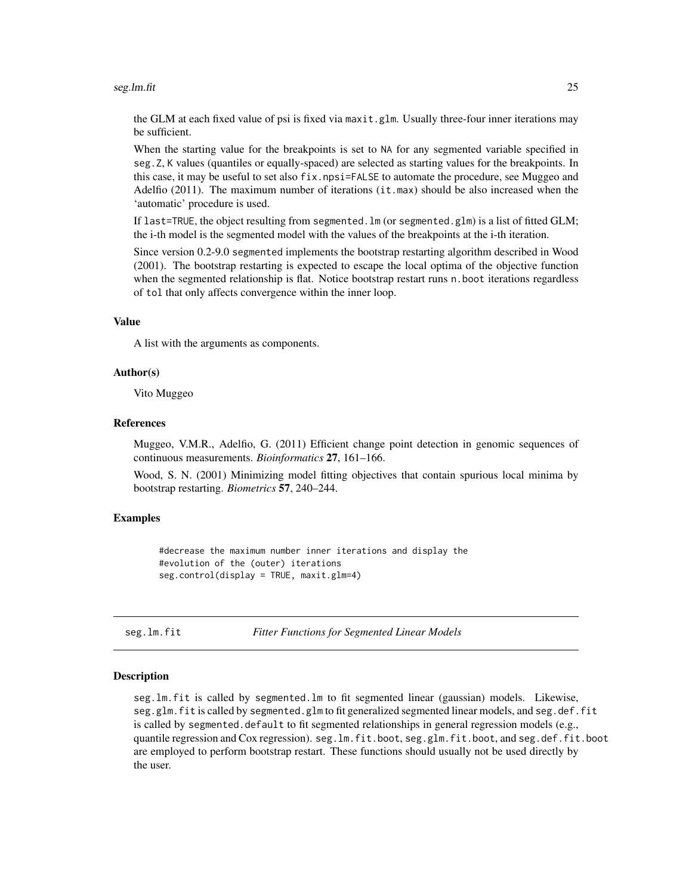#### <span id="page-24-0"></span>seg.lm.fit 25

the GLM at each fixed value of psi is fixed via maxit.glm. Usually three-four inner iterations may be sufficient.

When the starting value for the breakpoints is set to NA for any segmented variable specified in seg.Z, K values (quantiles or equally-spaced) are selected as starting values for the breakpoints. In this case, it may be useful to set also  $fix.npsi=FALSE$  to automate the procedure, see Muggeo and Adelfio (2011). The maximum number of iterations (it.max) should be also increased when the 'automatic' procedure is used.

If last=TRUE, the object resulting from segmented.lm (or segmented.glm) is a list of fitted GLM; the i-th model is the segmented model with the values of the breakpoints at the i-th iteration.

Since version 0.2-9.0 segmented implements the bootstrap restarting algorithm described in Wood (2001). The bootstrap restarting is expected to escape the local optima of the objective function when the segmented relationship is flat. Notice bootstrap restart runs n. boot iterations regardless of tol that only affects convergence within the inner loop.

### Value

A list with the arguments as components.

#### Author(s)

Vito Muggeo

#### References

Muggeo, V.M.R., Adelfio, G. (2011) Efficient change point detection in genomic sequences of continuous measurements. *Bioinformatics* 27, 161–166.

Wood, S. N. (2001) Minimizing model fitting objectives that contain spurious local minima by bootstrap restarting. *Biometrics* 57, 240–244.

# Examples

#decrease the maximum number inner iterations and display the #evolution of the (outer) iterations seg.control(display = TRUE, maxit.glm=4)

seg.lm.fit *Fitter Functions for Segmented Linear Models*

#### Description

seg.lm.fit is called by segmented.lm to fit segmented linear (gaussian) models. Likewise, seg.glm.fit is called by segmented.glm to fit generalized segmented linear models, and seg.def.fit is called by segmented.default to fit segmented relationships in general regression models (e.g., quantile regression and Cox regression). seg.lm.fit.boot, seg.glm.fit.boot, and seg.def.fit.boot are employed to perform bootstrap restart. These functions should usually not be used directly by the user.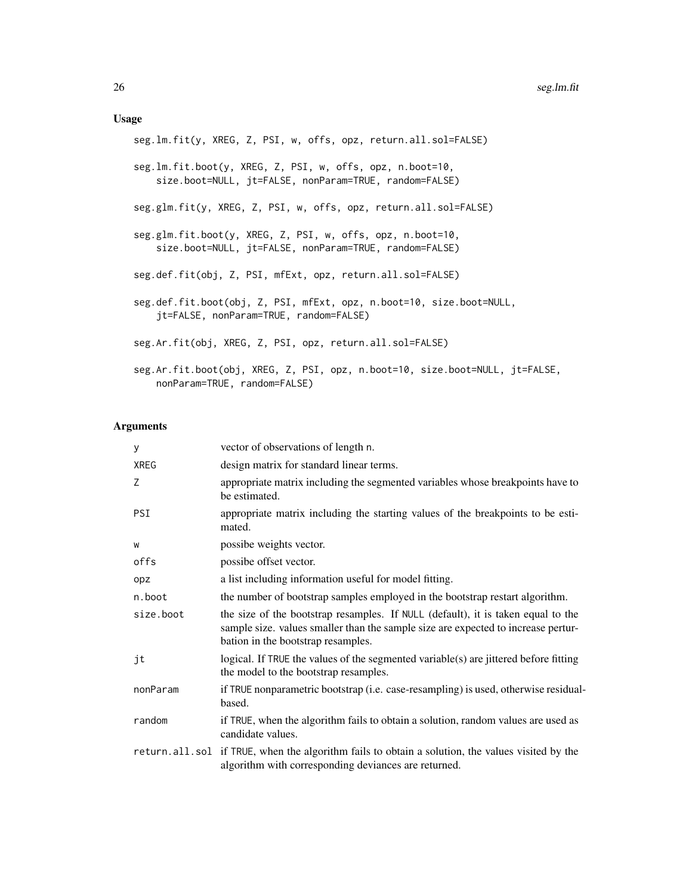# Usage

| seg.lm.fit(y, XREG, Z, PSI, w, offs, opz, return.all.sol=FALSE)                                                      |
|----------------------------------------------------------------------------------------------------------------------|
| seg.lm.fit.boot(y, XREG, Z, PSI, w, offs, opz, n.boot=10,<br>size.boot=NULL, jt=FALSE, nonParam=TRUE, random=FALSE)  |
| seg.glm.fit(y, XREG, Z, PSI, w, offs, opz, return.all.sol=FALSE)                                                     |
| seg.glm.fit.boot(y, XREG, Z, PSI, w, offs, opz, n.boot=10,<br>size.boot=NULL, jt=FALSE, nonParam=TRUE, random=FALSE) |
| seg.def.fit(obj, Z, PSI, mfExt, opz, return.all.sol=FALSE)                                                           |
| seg.def.fit.boot(obj, Z, PSI, mfExt, opz, n.boot=10, size.boot=NULL,<br>jt=FALSE, nonParam=TRUE, random=FALSE)       |
| seg.Ar.fit(obj, XREG, Z, PSI, opz, return.all.sol=FALSE)                                                             |
| seg.Ar.fit.boot(obj, XREG, Z, PSI, opz, n.boot=10, size.boot=NULL, jt=FALSE,<br>nonParam=TRUE, random=FALSE)         |

| У           | vector of observations of length n.                                                                                                                                                                         |
|-------------|-------------------------------------------------------------------------------------------------------------------------------------------------------------------------------------------------------------|
| <b>XREG</b> | design matrix for standard linear terms.                                                                                                                                                                    |
| Z           | appropriate matrix including the segmented variables whose breakpoints have to<br>be estimated.                                                                                                             |
| <b>PSI</b>  | appropriate matrix including the starting values of the breakpoints to be esti-<br>mated.                                                                                                                   |
| W           | possibe weights vector.                                                                                                                                                                                     |
| offs        | possibe offset vector.                                                                                                                                                                                      |
| opz         | a list including information useful for model fitting.                                                                                                                                                      |
| n.boot      | the number of bootstrap samples employed in the bootstrap restart algorithm.                                                                                                                                |
| size.boot   | the size of the bootstrap resamples. If NULL (default), it is taken equal to the<br>sample size. values smaller than the sample size are expected to increase pertur-<br>bation in the bootstrap resamples. |
| jt          | logical. If TRUE the values of the segmented variable(s) are jittered before fitting<br>the model to the bootstrap resamples.                                                                               |
| nonParam    | if TRUE nonparametric bootstrap (i.e. case-resampling) is used, otherwise residual-<br>based.                                                                                                               |
| random      | if TRUE, when the algorithm fails to obtain a solution, random values are used as<br>candidate values.                                                                                                      |
|             | return.all.sol if TRUE, when the algorithm fails to obtain a solution, the values visited by the<br>algorithm with corresponding deviances are returned.                                                    |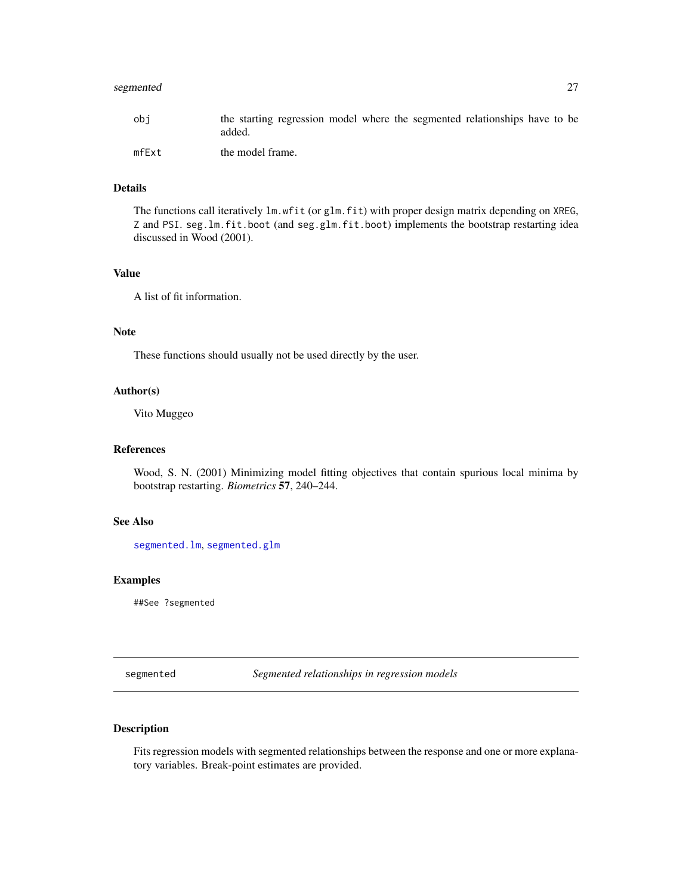<span id="page-26-0"></span>

| obi   | the starting regression model where the segmented relationships have to be<br>added. |
|-------|--------------------------------------------------------------------------------------|
| mfExt | the model frame.                                                                     |

# Details

The functions call iteratively  $lm.$  wfit (or glm.fit) with proper design matrix depending on XREG, Z and PSI. seg.lm.fit.boot (and seg.glm.fit.boot) implements the bootstrap restarting idea discussed in Wood (2001).

# Value

A list of fit information.

# Note

These functions should usually not be used directly by the user.

# Author(s)

Vito Muggeo

#### References

Wood, S. N. (2001) Minimizing model fitting objectives that contain spurious local minima by bootstrap restarting. *Biometrics* 57, 240–244.

# See Also

[segmented.lm](#page-26-1), [segmented.glm](#page-26-1)

# Examples

##See ?segmented

<span id="page-26-2"></span>segmented *Segmented relationships in regression models*

# <span id="page-26-1"></span>Description

Fits regression models with segmented relationships between the response and one or more explanatory variables. Break-point estimates are provided.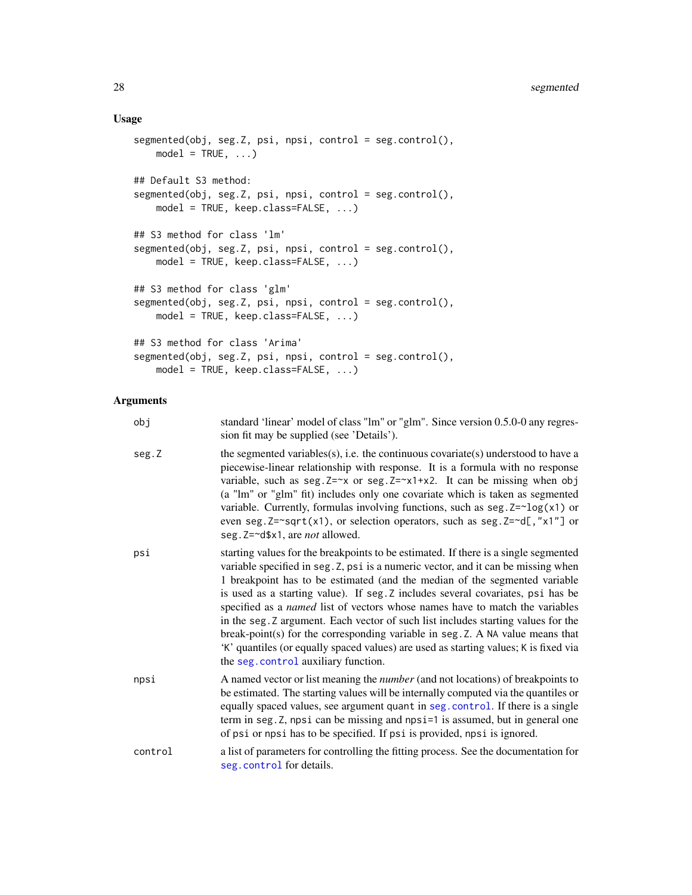# <span id="page-27-0"></span>Usage

```
segmented(obj, seg.Z, psi, npsi, control = seg.control(),
   model = TRUE, ...## Default S3 method:
segmented(obj, seg.Z, psi, npsi, control = seg.control(),
   model = TRUE, keep.class=FALSE, ...)
## S3 method for class 'lm'
segmented(obj, seg.Z, psi, npsi, control = seg.control(),
   model = TRUE, keep.class=FALSE, ...)
## S3 method for class 'glm'
segmented(obj, seg.Z, psi, npsi, control = seg.control(),
   model = TRUE, keep.class=FALSE, ...)
## S3 method for class 'Arima'
segmented(obj, seg.Z, psi, npsi, control = seg.control(),
   model = TRUE, keep.class=FALSE, ...)
```

| obj     | standard 'linear' model of class "lm" or "glm". Since version 0.5.0-0 any regres-<br>sion fit may be supplied (see 'Details').                                                                                                                                                                                                                                                                                                                                                                                                                                                                                                                                                                                                   |
|---------|----------------------------------------------------------------------------------------------------------------------------------------------------------------------------------------------------------------------------------------------------------------------------------------------------------------------------------------------------------------------------------------------------------------------------------------------------------------------------------------------------------------------------------------------------------------------------------------------------------------------------------------------------------------------------------------------------------------------------------|
| seg.Z   | the segmented variables(s), i.e. the continuous covariate(s) understood to have a<br>piecewise-linear relationship with response. It is a formula with no response<br>variable, such as seg. Z=~x or seg. Z=~x1+x2. It can be missing when obj<br>(a "lm" or "glm" fit) includes only one covariate which is taken as segmented<br>variable. Currently, formulas involving functions, such as $seg.2 = \log(x1)$ or<br>even seg. Z=~sqrt(x1), or selection operators, such as seg. Z=~d[,"x1"] or<br>seg. Z=~d\$x1, are <i>not</i> allowed.                                                                                                                                                                                      |
| psi     | starting values for the breakpoints to be estimated. If there is a single segmented<br>variable specified in seg. Z, psi is a numeric vector, and it can be missing when<br>1 breakpoint has to be estimated (and the median of the segmented variable<br>is used as a starting value). If seg. Z includes several covariates, psi has be<br>specified as a named list of vectors whose names have to match the variables<br>in the seg. Z argument. Each vector of such list includes starting values for the<br>break-point(s) for the corresponding variable in seg. Z. A NA value means that<br>'K' quantiles (or equally spaced values) are used as starting values; K is fixed via<br>the seg. control auxiliary function. |
| npsi    | A named vector or list meaning the <i>number</i> (and not locations) of breakpoints to<br>be estimated. The starting values will be internally computed via the quantiles or<br>equally spaced values, see argument quant in seg. control. If there is a single<br>term in seg. Z, npsi can be missing and npsi=1 is assumed, but in general one<br>of psi or npsi has to be specified. If psi is provided, npsi is ignored.                                                                                                                                                                                                                                                                                                     |
| control | a list of parameters for controlling the fitting process. See the documentation for<br>seg.control for details.                                                                                                                                                                                                                                                                                                                                                                                                                                                                                                                                                                                                                  |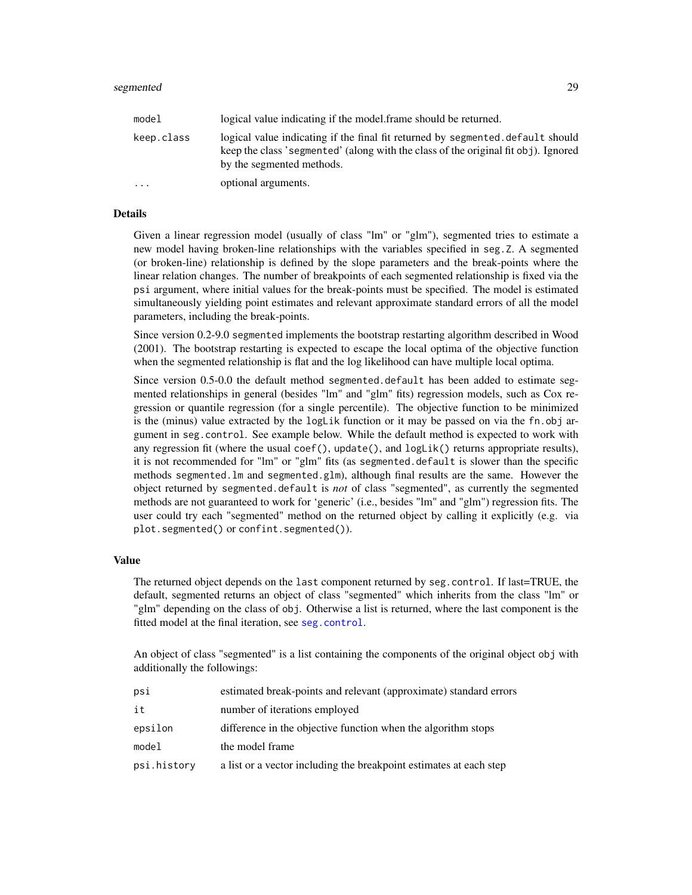| model      | logical value indicating if the model frame should be returned.                                                                                                                                   |
|------------|---------------------------------------------------------------------------------------------------------------------------------------------------------------------------------------------------|
| keep.class | logical value indicating if the final fit returned by segmented default should<br>keep the class 'segmented' (along with the class of the original fit obj). Ignored<br>by the segmented methods. |
| $\cdots$   | optional arguments.                                                                                                                                                                               |

# Details

Given a linear regression model (usually of class "lm" or "glm"), segmented tries to estimate a new model having broken-line relationships with the variables specified in seg.Z. A segmented (or broken-line) relationship is defined by the slope parameters and the break-points where the linear relation changes. The number of breakpoints of each segmented relationship is fixed via the psi argument, where initial values for the break-points must be specified. The model is estimated simultaneously yielding point estimates and relevant approximate standard errors of all the model parameters, including the break-points.

Since version 0.2-9.0 segmented implements the bootstrap restarting algorithm described in Wood (2001). The bootstrap restarting is expected to escape the local optima of the objective function when the segmented relationship is flat and the log likelihood can have multiple local optima.

Since version 0.5-0.0 the default method segmented.default has been added to estimate segmented relationships in general (besides "lm" and "glm" fits) regression models, such as Cox regression or quantile regression (for a single percentile). The objective function to be minimized is the (minus) value extracted by the logLik function or it may be passed on via the fn.obj argument in seg.control. See example below. While the default method is expected to work with any regression fit (where the usual coef(), update(), and logLik() returns appropriate results), it is not recommended for "lm" or "glm" fits (as segmented.default is slower than the specific methods segmented.lm and segmented.glm), although final results are the same. However the object returned by segmented.default is *not* of class "segmented", as currently the segmented methods are not guaranteed to work for 'generic' (i.e., besides "lm" and "glm") regression fits. The user could try each "segmented" method on the returned object by calling it explicitly (e.g. via plot.segmented() or confint.segmented()).

# Value

The returned object depends on the last component returned by seg.control. If last=TRUE, the default, segmented returns an object of class "segmented" which inherits from the class "lm" or "glm" depending on the class of obj. Otherwise a list is returned, where the last component is the fitted model at the final iteration, see [seg.control](#page-22-1).

An object of class "segmented" is a list containing the components of the original object obj with additionally the followings:

| psi         | estimated break-points and relevant (approximate) standard errors  |
|-------------|--------------------------------------------------------------------|
| it          | number of iterations employed                                      |
| epsilon     | difference in the objective function when the algorithm stops      |
| model       | the model frame                                                    |
| psi.history | a list or a vector including the breakpoint estimates at each step |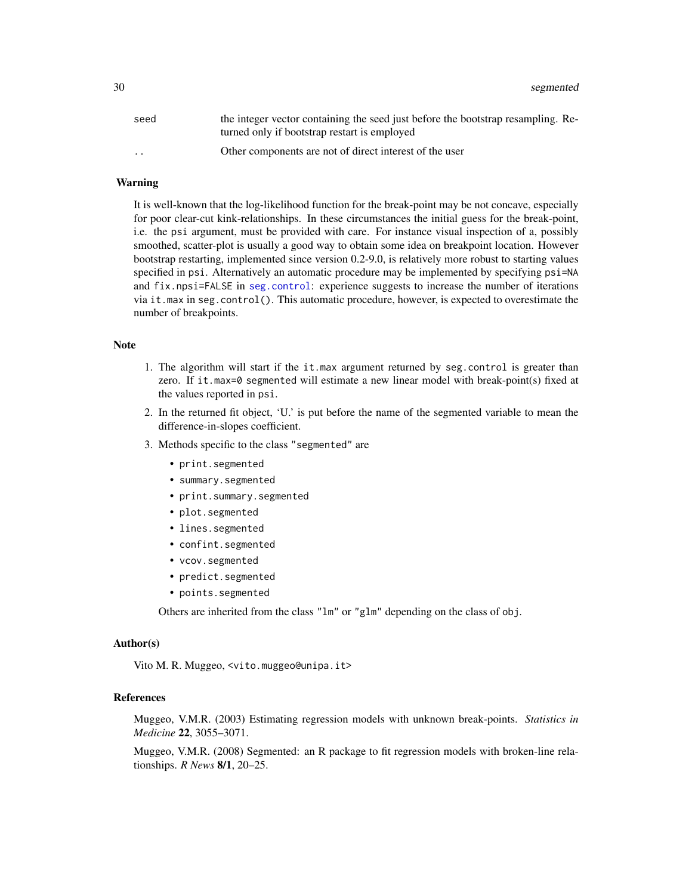<span id="page-29-0"></span>

| seed            | the integer vector containing the seed just before the bootstrap resampling. Re- |
|-----------------|----------------------------------------------------------------------------------|
|                 | turned only if bootstrap restart is employed                                     |
| $\cdot$ $\cdot$ | Other components are not of direct interest of the user                          |

# Warning

It is well-known that the log-likelihood function for the break-point may be not concave, especially for poor clear-cut kink-relationships. In these circumstances the initial guess for the break-point, i.e. the psi argument, must be provided with care. For instance visual inspection of a, possibly smoothed, scatter-plot is usually a good way to obtain some idea on breakpoint location. However bootstrap restarting, implemented since version 0.2-9.0, is relatively more robust to starting values specified in psi. Alternatively an automatic procedure may be implemented by specifying psi=NA and fix.npsi=FALSE in [seg.control](#page-22-1): experience suggests to increase the number of iterations via it.max in seg.control(). This automatic procedure, however, is expected to overestimate the number of breakpoints.

# Note

- 1. The algorithm will start if the it.max argument returned by seg.control is greater than zero. If it.max=0 segmented will estimate a new linear model with break-point(s) fixed at the values reported in psi.
- 2. In the returned fit object, 'U.' is put before the name of the segmented variable to mean the difference-in-slopes coefficient.
- 3. Methods specific to the class "segmented" are
	- print.segmented
	- summary.segmented
	- print.summary.segmented
	- plot.segmented
	- lines.segmented
	- confint.segmented
	- vcov.segmented
	- predict.segmented
	- points.segmented

Others are inherited from the class "lm" or "glm" depending on the class of obj.

#### Author(s)

Vito M. R. Muggeo, <vito.muggeo@unipa.it>

# References

Muggeo, V.M.R. (2003) Estimating regression models with unknown break-points. *Statistics in Medicine* 22, 3055–3071.

Muggeo, V.M.R. (2008) Segmented: an R package to fit regression models with broken-line relationships. *R News* 8/1, 20–25.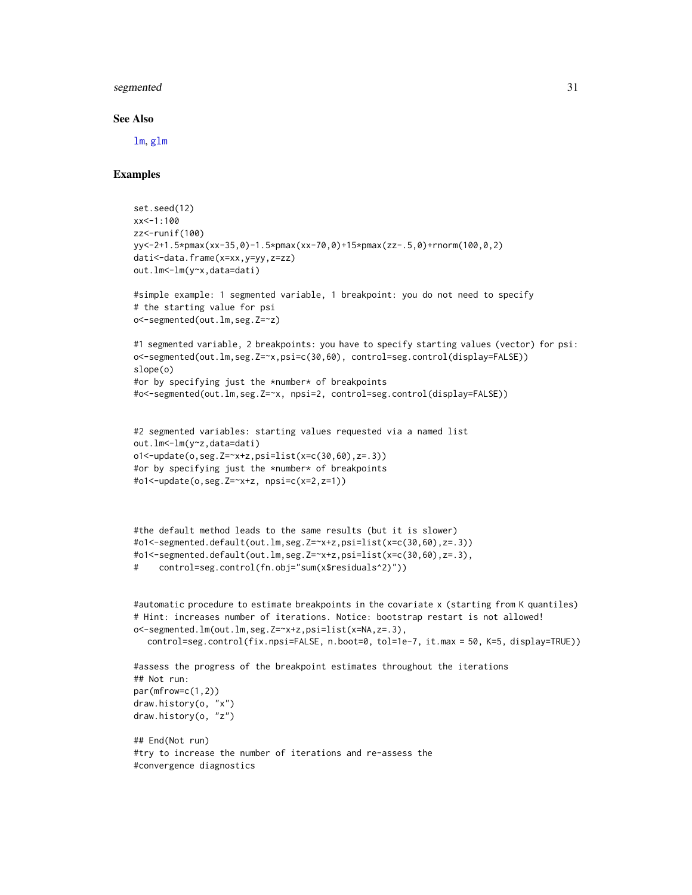#### <span id="page-30-0"></span>See Also

[lm](#page-0-0), [glm](#page-0-0)

# Examples

```
set.seed(12)
xx<-1:100
zz<-runif(100)
yy<-2+1.5*pmax(xx-35,0)-1.5*pmax(xx-70,0)+15*pmax(zz-.5,0)+rnorm(100,0,2)
dati<-data.frame(x=xx,y=yy,z=zz)
out.lm<-lm(y~x,data=dati)
#simple example: 1 segmented variable, 1 breakpoint: you do not need to specify
# the starting value for psi
o<-segmented(out.lm,seg.Z=~z)
#1 segmented variable, 2 breakpoints: you have to specify starting values (vector) for psi:
o<-segmented(out.lm,seg.Z=~x,psi=c(30,60), control=seg.control(display=FALSE))
slope(o)
#or by specifying just the *number* of breakpoints
#o<-segmented(out.lm,seg.Z=~x, npsi=2, control=seg.control(display=FALSE))
#2 segmented variables: starting values requested via a named list
out.lm<-lm(y~z,data=dati)
o1<-update(o,seg.Z=~x+z,psi=list(x=c(30,60),z=.3))
#or by specifying just the *number* of breakpoints
#o1<-update(o,seg.Z=~x+z, npsi=c(x=2,z=1))
#the default method leads to the same results (but it is slower)
#o1<-segmented.default(out.lm,seg.Z=~x+z,psi=list(x=c(30,60),z=.3))
#o1<-segmented.default(out.lm,seg.Z=x+z,psi=list(x=c(30,60),z=.3),
# control=seg.control(fn.obj="sum(x$residuals^2)"))
#automatic procedure to estimate breakpoints in the covariate x (starting from K quantiles)
# Hint: increases number of iterations. Notice: bootstrap restart is not allowed!
o<-segmented.lm(out.lm,seg.Z=~x+z,psi=list(x=NA,z=.3),
  control=seg.control(fix.npsi=FALSE, n.boot=0, tol=1e-7, it.max = 50, K=5, display=TRUE))
#assess the progress of the breakpoint estimates throughout the iterations
## Not run:
par(mfrow=c(1,2))
draw.history(o, "x")
draw.history(o, "z")
## End(Not run)
#try to increase the number of iterations and re-assess the
#convergence diagnostics
```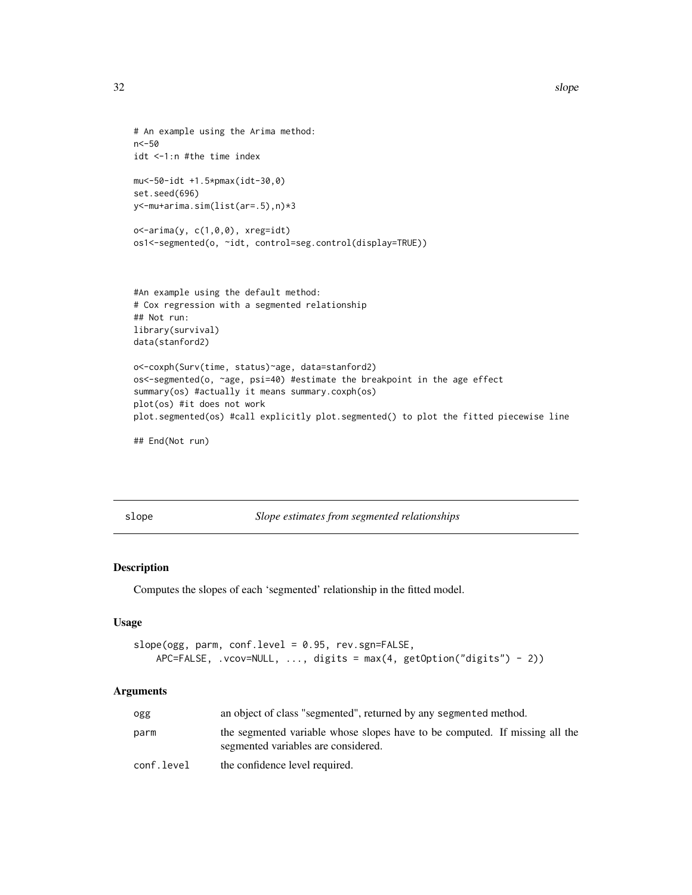```
32 slope and the state of the state of the state of the state of the state of the state of the state of the state of the state of the state of the state of the state of the state of the state of the state of the state of t
```

```
# An example using the Arima method:
n<-50
idt <-1:n #the time index
mu<-50-idt +1.5*pmax(idt-30,0)
set.seed(696)
y<-mu+arima.sim(list(ar=.5),n)*3
o <-arima(y, c(1,0,0), xreg=idt)
os1<-segmented(o, ~idt, control=seg.control(display=TRUE))
#An example using the default method:
# Cox regression with a segmented relationship
## Not run:
library(survival)
data(stanford2)
o<-coxph(Surv(time, status)~age, data=stanford2)
os<-segmented(o, ~age, psi=40) #estimate the breakpoint in the age effect
summary(os) #actually it means summary.coxph(os)
plot(os) #it does not work
plot.segmented(os) #call explicitly plot.segmented() to plot the fitted piecewise line
```
## End(Not run)

<span id="page-31-1"></span>slope *Slope estimates from segmented relationships*

# Description

Computes the slopes of each 'segmented' relationship in the fitted model.

#### Usage

```
slope(ogg, parm, conf.level = 0.95, rev.sgn=FALSE,
   APC=FALSE, .vcov=NULL, ..., digits = max(4, getOption("digits") - 2))
```

| ogg        | an object of class "segmented", returned by any segmented method.                                                  |
|------------|--------------------------------------------------------------------------------------------------------------------|
| parm       | the segmented variable whose slopes have to be computed. If missing all the<br>segmented variables are considered. |
| conf.level | the confidence level required.                                                                                     |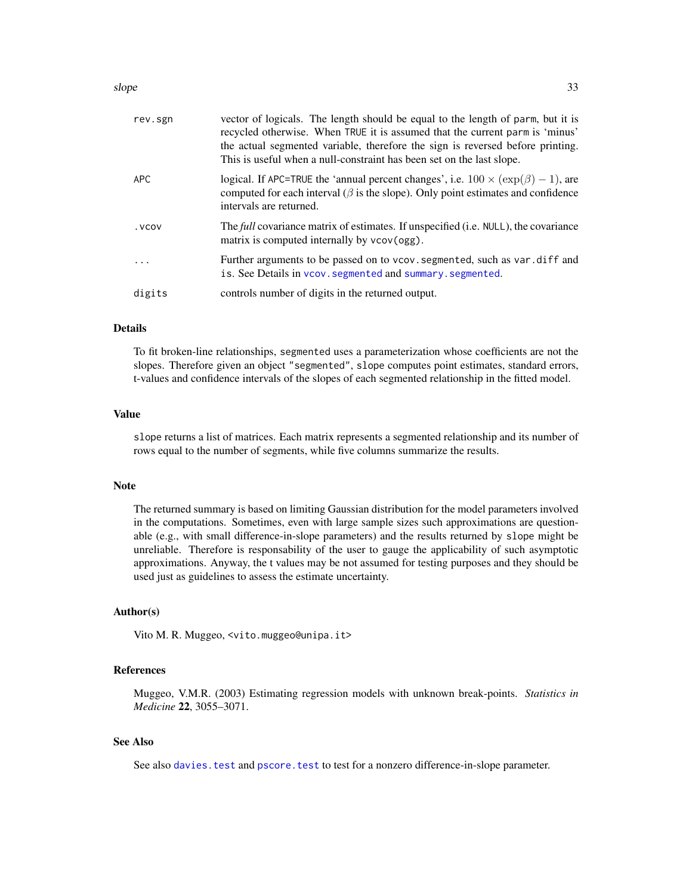#### <span id="page-32-0"></span> $slope$  33

| rev.sgn | vector of logicals. The length should be equal to the length of parm, but it is<br>recycled otherwise. When TRUE it is assumed that the current parm is 'minus'<br>the actual segmented variable, therefore the sign is reversed before printing.<br>This is useful when a null-constraint has been set on the last slope. |
|---------|----------------------------------------------------------------------------------------------------------------------------------------------------------------------------------------------------------------------------------------------------------------------------------------------------------------------------|
| APC     | logical. If APC=TRUE the 'annual percent changes', i.e. $100 \times (exp(\beta) - 1)$ , are<br>computed for each interval ( $\beta$ is the slope). Only point estimates and confidence<br>intervals are returned.                                                                                                          |
| . VCOV  | The full covariance matrix of estimates. If unspecified (i.e. NULL), the covariance<br>matrix is computed internally by vcov(ogg).                                                                                                                                                                                         |
|         | Further arguments to be passed on to vcov. segmented, such as var. diff and<br>is. See Details in vcov. segmented and summary. segmented.                                                                                                                                                                                  |
| digits  | controls number of digits in the returned output.                                                                                                                                                                                                                                                                          |

# Details

To fit broken-line relationships, segmented uses a parameterization whose coefficients are not the slopes. Therefore given an object "segmented", slope computes point estimates, standard errors, t-values and confidence intervals of the slopes of each segmented relationship in the fitted model.

#### Value

slope returns a list of matrices. Each matrix represents a segmented relationship and its number of rows equal to the number of segments, while five columns summarize the results.

# Note

The returned summary is based on limiting Gaussian distribution for the model parameters involved in the computations. Sometimes, even with large sample sizes such approximations are questionable (e.g., with small difference-in-slope parameters) and the results returned by slope might be unreliable. Therefore is responsability of the user to gauge the applicability of such asymptotic approximations. Anyway, the t values may be not assumed for testing purposes and they should be used just as guidelines to assess the estimate uncertainty.

#### Author(s)

Vito M. R. Muggeo, <vito.muggeo@unipa.it>

# References

Muggeo, V.M.R. (2003) Estimating regression models with unknown break-points. *Statistics in Medicine* 22, 3055–3071.

# See Also

See also davies. test and pscore. test to test for a nonzero difference-in-slope parameter.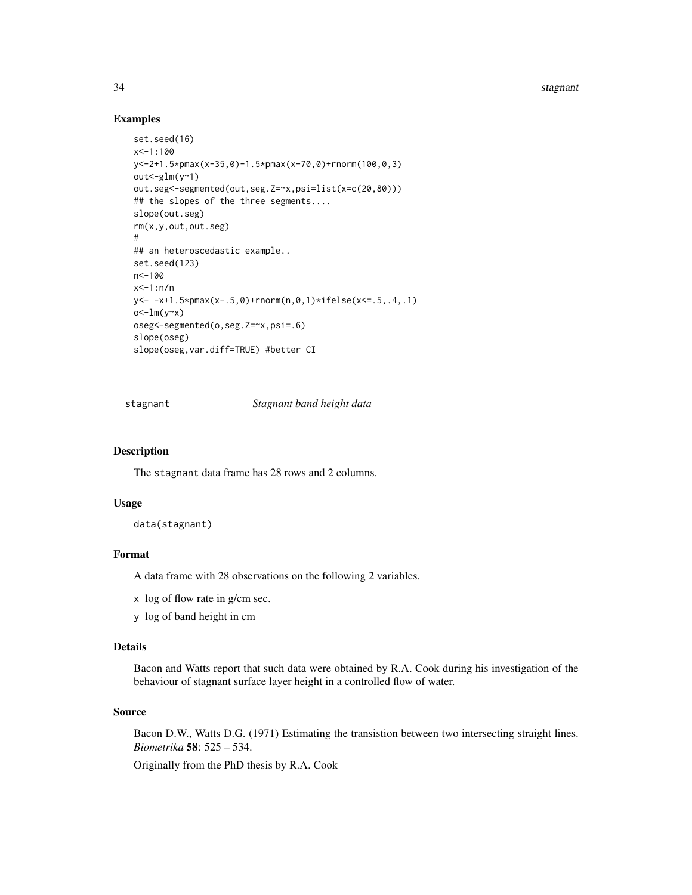34 stagnant

# Examples

```
set.seed(16)
x<-1:100
y<-2+1.5*pmax(x-35,0)-1.5*pmax(x-70,0)+rnorm(100,0,3)
out < -glm(y<sup>2</sup>)out.seg<-segmented(out,seg.Z=~x,psi=list(x=c(20,80)))
## the slopes of the three segments....
slope(out.seg)
rm(x,y,out,out.seg)
#
## an heteroscedastic example..
set.seed(123)
n<-100
x < -1 : n/ny<- -x+1.5*pmax(x-.5,0)+rnorm(n,0,1)*ifelse(x<=.5,.4,.1)
o<-lm(y \sim x)oseg<-segmented(o,seg.Z=~x,psi=.6)
slope(oseg)
slope(oseg,var.diff=TRUE) #better CI
```
stagnant *Stagnant band height data*

# Description

The stagnant data frame has 28 rows and 2 columns.

### Usage

data(stagnant)

# Format

A data frame with 28 observations on the following 2 variables.

- x log of flow rate in g/cm sec.
- y log of band height in cm

# Details

Bacon and Watts report that such data were obtained by R.A. Cook during his investigation of the behaviour of stagnant surface layer height in a controlled flow of water.

#### Source

Bacon D.W., Watts D.G. (1971) Estimating the transistion between two intersecting straight lines. *Biometrika* 58: 525 – 534.

Originally from the PhD thesis by R.A. Cook

<span id="page-33-0"></span>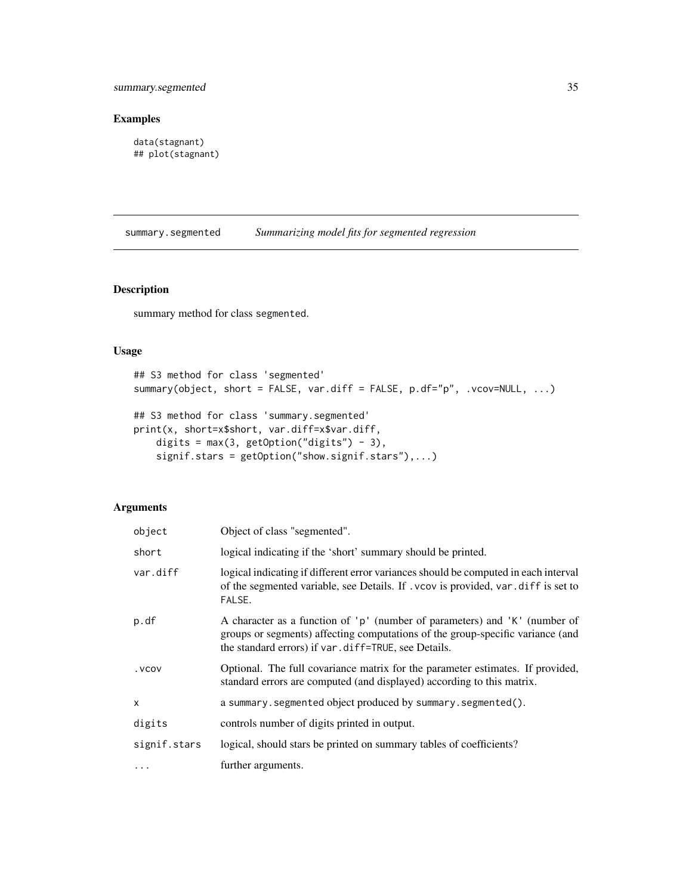# <span id="page-34-0"></span>summary.segmented 35

# Examples

```
data(stagnant)
## plot(stagnant)
```
<span id="page-34-1"></span>summary.segmented *Summarizing model fits for segmented regression*

# <span id="page-34-2"></span>Description

summary method for class segmented.

# Usage

```
## S3 method for class 'segmented'
summary(object, short = FALSE, var.diff = FALSE, p.df="p", .vcov=NULL, ...)
## S3 method for class 'summary.segmented'
print(x, short=x$short, var.diff=x$var.diff,
   digits = max(3, getOption("digits") - 3),
    signif.stars = getOption("show.signif.stars"),...)
```

| object       | Object of class "segmented".                                                                                                                                                                                        |
|--------------|---------------------------------------------------------------------------------------------------------------------------------------------------------------------------------------------------------------------|
| short        | logical indicating if the 'short' summary should be printed.                                                                                                                                                        |
| var.diff     | logical indicating if different error variances should be computed in each interval<br>of the segmented variable, see Details. If . vcov is provided, var. diff is set to<br>FALSE.                                 |
| p.df         | A character as a function of 'p' (number of parameters) and 'K' (number of<br>groups or segments) affecting computations of the group-specific variance (and<br>the standard errors) if var.diff=TRUE, see Details. |
| . VCOV       | Optional. The full covariance matrix for the parameter estimates. If provided,<br>standard errors are computed (and displayed) according to this matrix.                                                            |
| X            | a summary.segmented object produced by summary.segmented().                                                                                                                                                         |
| digits       | controls number of digits printed in output.                                                                                                                                                                        |
| signif.stars | logical, should stars be printed on summary tables of coefficients?                                                                                                                                                 |
| .            | further arguments.                                                                                                                                                                                                  |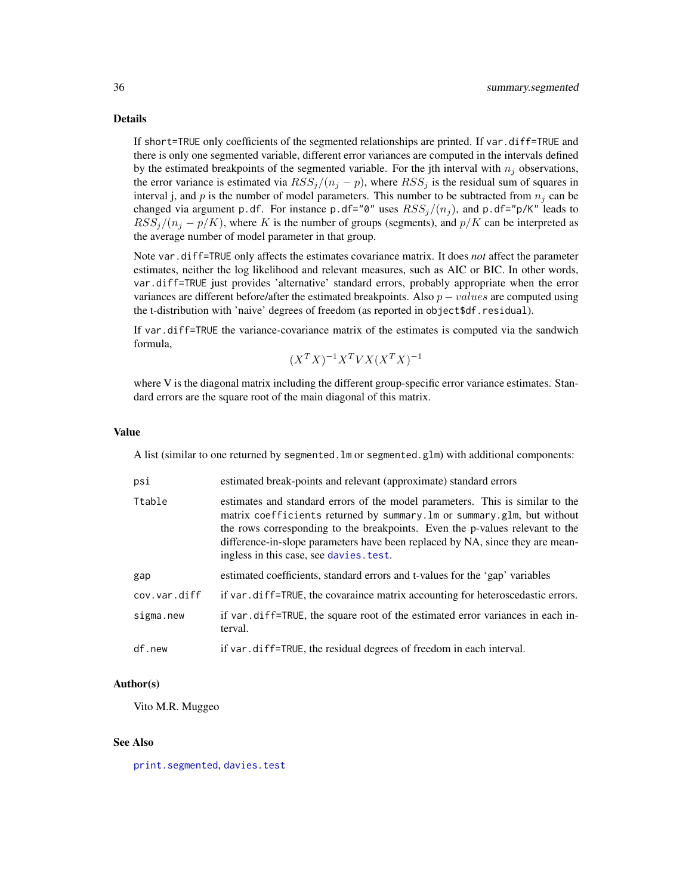# Details

If short=TRUE only coefficients of the segmented relationships are printed. If var.diff=TRUE and there is only one segmented variable, different error variances are computed in the intervals defined by the estimated breakpoints of the segmented variable. For the jth interval with  $n_i$  observations, the error variance is estimated via  $RSS_j/(n_j - p)$ , where  $RSS_j$  is the residual sum of squares in interval j, and p is the number of model parameters. This number to be subtracted from  $n_i$  can be changed via argument p.df. For instance p.df="0" uses  $RSS_j/(n_j)$ , and p.df="p/K" leads to  $RSS_j/(n_j - p/K)$ , where K is the number of groups (segments), and  $p/K$  can be interpreted as the average number of model parameter in that group.

Note var.diff=TRUE only affects the estimates covariance matrix. It does *not* affect the parameter estimates, neither the log likelihood and relevant measures, such as AIC or BIC. In other words, var.diff=TRUE just provides 'alternative' standard errors, probably appropriate when the error variances are different before/after the estimated breakpoints. Also  $p - values$  are computed using the t-distribution with 'naive' degrees of freedom (as reported in object\$df.residual).

If var.diff=TRUE the variance-covariance matrix of the estimates is computed via the sandwich formula,

$$
(X^T X)^{-1} X^T V X (X^T X)^{-1}
$$

where V is the diagonal matrix including the different group-specific error variance estimates. Standard errors are the square root of the main diagonal of this matrix.

#### Value

A list (similar to one returned by segmented.  $\text{Im} \text{ or}$  segmented.  $\text{glm}$ ) with additional components:

| psi          | estimated break-points and relevant (approximate) standard errors                                                                                                                                                                                                                                                                                                     |
|--------------|-----------------------------------------------------------------------------------------------------------------------------------------------------------------------------------------------------------------------------------------------------------------------------------------------------------------------------------------------------------------------|
| Ttable       | estimates and standard errors of the model parameters. This is similar to the<br>matrix coefficients returned by summary. Im or summary. glm, but without<br>the rows corresponding to the breakpoints. Even the p-values relevant to the<br>difference-in-slope parameters have been replaced by NA, since they are mean-<br>ingless in this case, see davies. test. |
| gap          | estimated coefficients, standard errors and t-values for the 'gap' variables                                                                                                                                                                                                                                                                                          |
| cov.var.diff | if var . diff=TRUE, the covaraince matrix accounting for heteroscedastic errors.                                                                                                                                                                                                                                                                                      |
| sigma.new    | if var.diff=TRUE, the square root of the estimated error variances in each in-<br>terval.                                                                                                                                                                                                                                                                             |
| df.new       | if var, diff=TRUE, the residual degrees of freedom in each interval.                                                                                                                                                                                                                                                                                                  |

#### Author(s)

Vito M.R. Muggeo

#### See Also

[print.segmented](#page-19-2), [davies.test](#page-7-1)

<span id="page-35-0"></span>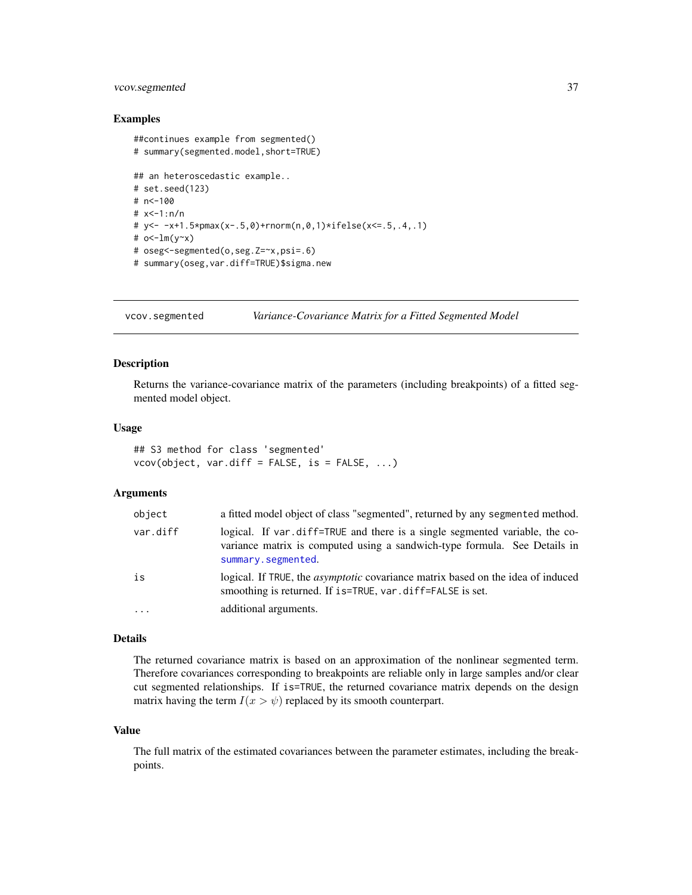# <span id="page-36-0"></span>vcov.segmented 37

# Examples

```
##continues example from segmented()
# summary(segmented.model,short=TRUE)
## an heteroscedastic example..
# set.seed(123)
# n<-100
# x<-1:n/n
# y<- -x+1.5*pmax(x-.5,0)+rnorm(n,0,1)*ifelse(x<=.5,.4,.1)
# o<-lm(y-x)# oseg<-segmented(o,seg.Z=~x,psi=.6)
# summary(oseg,var.diff=TRUE)$sigma.new
```
<span id="page-36-1"></span>vcov.segmented *Variance-Covariance Matrix for a Fitted Segmented Model*

# Description

Returns the variance-covariance matrix of the parameters (including breakpoints) of a fitted segmented model object.

# Usage

## S3 method for class 'segmented'  $vcov(object, var.diff = FALSE, is = FALSE, ...)$ 

# Arguments

| object   | a fitted model object of class "segmented", returned by any segmented method.                                                                                                  |
|----------|--------------------------------------------------------------------------------------------------------------------------------------------------------------------------------|
| var.diff | logical. If var diff=TRUE and there is a single segmented variable, the co-<br>variance matrix is computed using a sandwich-type formula. See Details in<br>summary.segmented. |
| is       | logical. If TRUE, the <i>asymptotic</i> covariance matrix based on the idea of induced<br>smoothing is returned. If is=TRUE, var.diff=FALSE is set.                            |
| .        | additional arguments.                                                                                                                                                          |

#### Details

The returned covariance matrix is based on an approximation of the nonlinear segmented term. Therefore covariances corresponding to breakpoints are reliable only in large samples and/or clear cut segmented relationships. If is=TRUE, the returned covariance matrix depends on the design matrix having the term  $I(x > \psi)$  replaced by its smooth counterpart.

#### Value

The full matrix of the estimated covariances between the parameter estimates, including the breakpoints.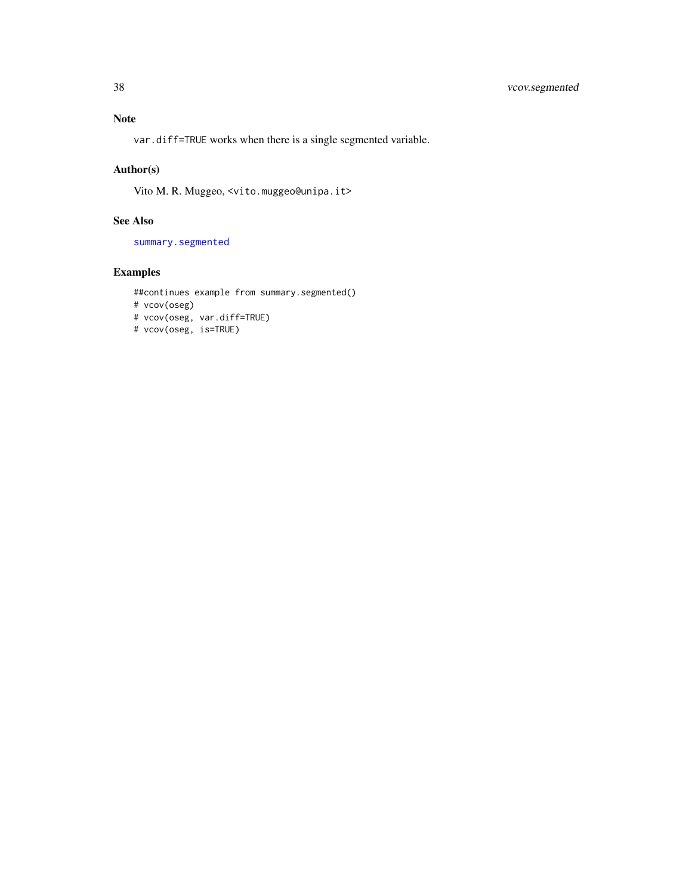# <span id="page-37-0"></span>Note

var.diff=TRUE works when there is a single segmented variable.

# Author(s)

Vito M. R. Muggeo, <vito.muggeo@unipa.it>

# See Also

[summary.segmented](#page-34-1)

# Examples

```
##continues example from summary.segmented()
# vcov(oseg)
# vcov(oseg, var.diff=TRUE)
# vcov(oseg, is=TRUE)
```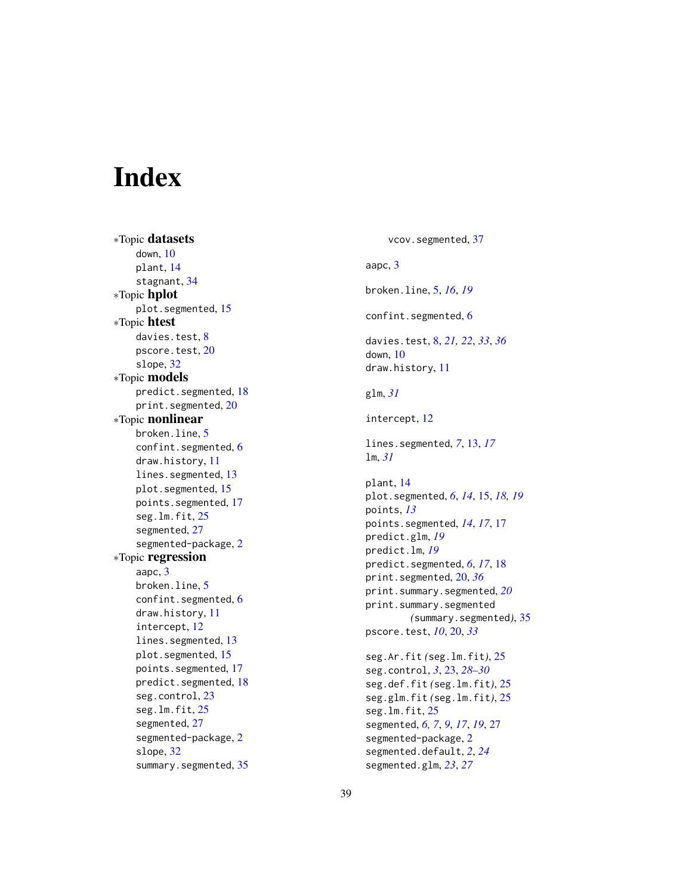# <span id="page-38-0"></span>**Index**

∗Topic datasets down , [10](#page-9-0) plant , [14](#page-13-0) stagnant, [34](#page-33-0) ∗Topic hplot plot.segmented, [15](#page-14-0) ∗Topic htest davies.test, [8](#page-7-0) pscore.test,  $20$ slope , [32](#page-31-0) ∗Topic models predict.segmented , [18](#page-17-0) print.segmented , [20](#page-19-0) ∗Topic nonlinear broken.line, <mark>[5](#page-4-0)</mark> confint.segmented, [6](#page-5-0) draw.history , [11](#page-10-0) lines.segmented, [13](#page-12-0) plot.segmented, [15](#page-14-0) points.segmented , [17](#page-16-0) seg.lm.fit, [25](#page-24-0) segmented , [27](#page-26-0) segmented-package , [2](#page-1-0) ∗Topic regression aapc, [3](#page-2-0) broken.line, <mark>[5](#page-4-0)</mark> confint.segmented, [6](#page-5-0) draw.history , [11](#page-10-0) intercept , [12](#page-11-0) lines. segmented, [13](#page-12-0) plot.segmented, [15](#page-14-0) points.segmented , [17](#page-16-0) predict.segmented , [18](#page-17-0) seg.control, [23](#page-22-0) seg.lm.fit, [25](#page-24-0) segmented , [27](#page-26-0) segmented-package , [2](#page-1-0) slope, [32](#page-31-0) summary.segmented, [35](#page-34-0)

vcov.segmented, [37](#page-36-0) aapc, [3](#page-2-0) broken.line , [5](#page-4-0) , *[16](#page-15-0)* , *[19](#page-18-0)* confint.segmented, [6](#page-5-0) davies.test , [8](#page-7-0) , *[21](#page-20-0) , [22](#page-21-0)* , *[33](#page-32-0)* , *[36](#page-35-0)* down , [10](#page-9-0) draw.history , [11](#page-10-0) glm , *[31](#page-30-0)* intercept , [12](#page-11-0) lines.segmented , *[7](#page-6-0)* , [13](#page-12-0) , *[17](#page-16-0)* lm , *[31](#page-30-0)* plant , [14](#page-13-0) plot.segmented , *[6](#page-5-0)* , *[14](#page-13-0)* , [15](#page-14-0) , *[18](#page-17-0) , [19](#page-18-0)* points , *[13](#page-12-0)* points.segmented , *[14](#page-13-0)* , *[17](#page-16-0)* , [17](#page-16-0) predict.glm , *[19](#page-18-0)* predict.lm , *[19](#page-18-0)* predict.segmented , *[6](#page-5-0)* , *[17](#page-16-0)* , [18](#page-17-0) print.segmented , [20](#page-19-0) , *[36](#page-35-0)* print.summary.segmented , *[20](#page-19-0)* print.summary.segmented *(*summary.segmented *)* , [35](#page-34-0) pscore.test , *[10](#page-9-0)* , [20](#page-19-0) , *[33](#page-32-0)* seg.Ar.fit *(*seg.lm.fit *)* , [25](#page-24-0) seg.control , *[3](#page-2-0)* , [23](#page-22-0) , *[28](#page-27-0) [–30](#page-29-0)* seg.def.fit *(*seg.lm.fit *)* , [25](#page-24-0) seg.glm.fit *(*seg.lm.fit *)* , [25](#page-24-0) seg.lm.fit , [25](#page-24-0) segmented, [6,](#page-5-0) [7](#page-6-0), [9](#page-8-0), [17](#page-16-0), [19](#page-18-0), [27](#page-26-0) segmented-package , [2](#page-1-0) segmented.default , *[2](#page-1-0)* , *[24](#page-23-0)* segmented.glm , *[23](#page-22-0)* , *[27](#page-26-0)*